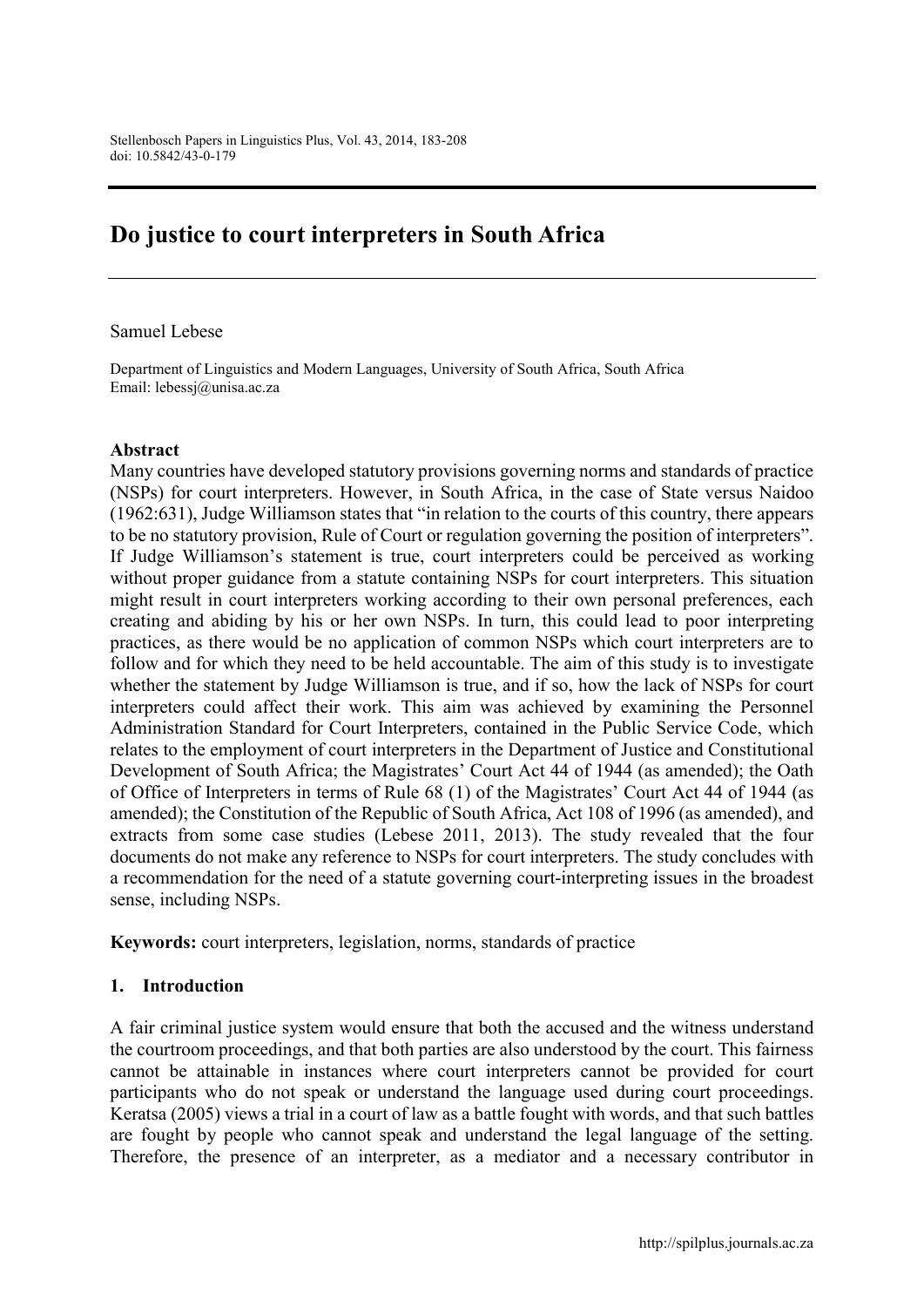# Do justice to court interpreters in South Africa

#### Samuel Lebese

Department of Linguistics and Modern Languages, University of South Africa, South Africa Email: [lebessj@unisa.ac.za](mailto:lebessj@unisa.ac.za)

#### Abstract

Many countries have developed statutory provisions governing norms and standards of practice (NSPs) for court interpreters. However, in South Africa, in the case of State versus Naidoo (1962:631), Judge Williamson states that "in relation to the courts of this country, there appears to be no statutory provision, Rule of Court or regulation governing the position of interpreters". If Judge Williamson's statement is true, court interpreters could be perceived as working without proper guidance from a statute containing NSPs for court interpreters. This situation might result in court interpreters working according to their own personal preferences, each creating and abiding by his or her own NSPs. In turn, this could lead to poor interpreting practices, as there would be no application of common NSPs which court interpreters are to follow and for which they need to be held accountable. The aim of this study is to investigate whether the statement by Judge Williamson is true, and if so, how the lack of NSPs for court interpreters could affect their work. This aim was achieved by examining the Personnel Administration Standard for Court Interpreters, contained in the Public Service Code, which relates to the employment of court interpreters in the Department of Justice and Constitutional Development of South Africa; the Magistrates' Court Act 44 of 1944 (as amended); the Oath of Office of Interpreters in terms of Rule 68 (1) of the Magistrates' Court Act 44 of 1944 (as amended); the Constitution of the Republic of South Africa, Act 108 of 1996 (as amended), and extracts from some case studies (Lebese 2011, 2013). The study revealed that the four documents do not make any reference to NSPs for court interpreters. The study concludes with a recommendation for the need of a statute governing court-interpreting issues in the broadest sense, including NSPs.

Keywords: court interpreters, legislation, norms, standards of practice

#### 1. Introduction

A fair criminal justice system would ensure that both the accused and the witness understand the courtroom proceedings, and that both parties are also understood by the court. This fairness cannot be attainable in instances where court interpreters cannot be provided for court participants who do not speak or understand the language used during court proceedings. Keratsa (2005) views a trial in a court of law as a battle fought with words, and that such battles are fought by people who cannot speak and understand the legal language of the setting. Therefore, the presence of an interpreter, as a mediator and a necessary contributor in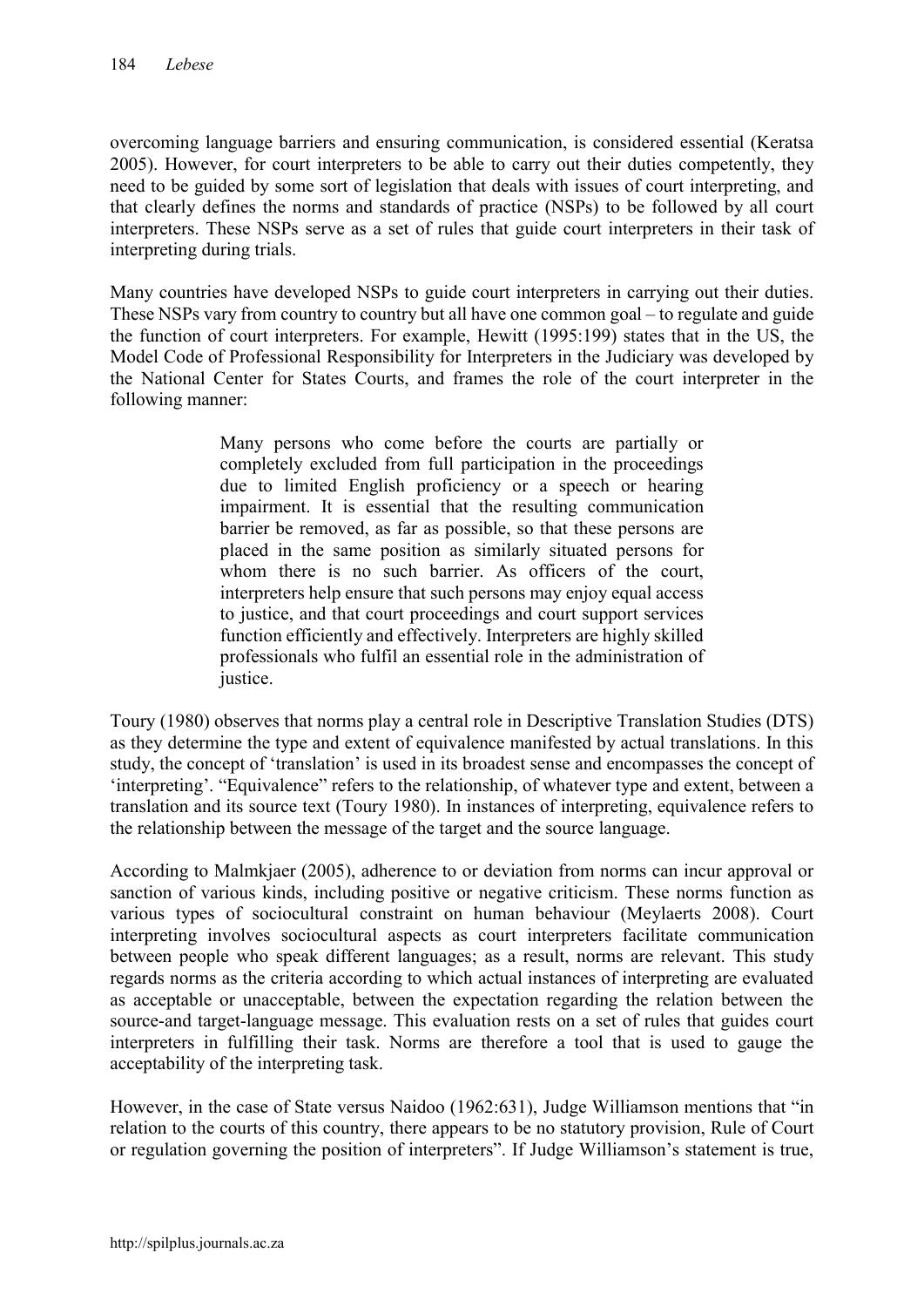overcoming language barriers and ensuring communication, is considered essential (Keratsa 2005). However, for court interpreters to be able to carry out their duties competently, they need to be guided by some sort of legislation that deals with issues of court interpreting, and that clearly defines the norms and standards of practice (NSPs) to be followed by all court interpreters. These NSPs serve as a set of rules that guide court interpreters in their task of interpreting during trials.

Many countries have developed NSPs to guide court interpreters in carrying out their duties. These NSPs vary from country to country but all have one common goal – to regulate and guide the function of court interpreters. For example, Hewitt (1995:199) states that in the US, the Model Code of Professional Responsibility for Interpreters in the Judiciary was developed by the National Center for States Courts, and frames the role of the court interpreter in the following manner:

> Many persons who come before the courts are partially or completely excluded from full participation in the proceedings due to limited English proficiency or a speech or hearing impairment. It is essential that the resulting communication barrier be removed, as far as possible, so that these persons are placed in the same position as similarly situated persons for whom there is no such barrier. As officers of the court, interpreters help ensure that such persons may enjoy equal access to justice, and that court proceedings and court support services function efficiently and effectively. Interpreters are highly skilled professionals who fulfil an essential role in the administration of justice.

Toury (1980) observes that norms play a central role in Descriptive Translation Studies (DTS) as they determine the type and extent of equivalence manifested by actual translations. In this study, the concept of 'translation' is used in its broadest sense and encompasses the concept of 'interpreting'. "Equivalence" refers to the relationship, of whatever type and extent, between a translation and its source text (Toury 1980). In instances of interpreting, equivalence refers to the relationship between the message of the target and the source language.

According to Malmkjaer (2005), adherence to or deviation from norms can incur approval or sanction of various kinds, including positive or negative criticism. These norms function as various types of sociocultural constraint on human behaviour (Meylaerts 2008). Court interpreting involves sociocultural aspects as court interpreters facilitate communication between people who speak different languages; as a result, norms are relevant. This study regards norms as the criteria according to which actual instances of interpreting are evaluated as acceptable or unacceptable, between the expectation regarding the relation between the source-and target-language message. This evaluation rests on a set of rules that guides court interpreters in fulfilling their task. Norms are therefore a tool that is used to gauge the acceptability of the interpreting task.

However, in the case of State versus Naidoo (1962:631), Judge Williamson mentions that "in relation to the courts of this country, there appears to be no statutory provision, Rule of Court or regulation governing the position of interpreters". If Judge Williamson's statement is true,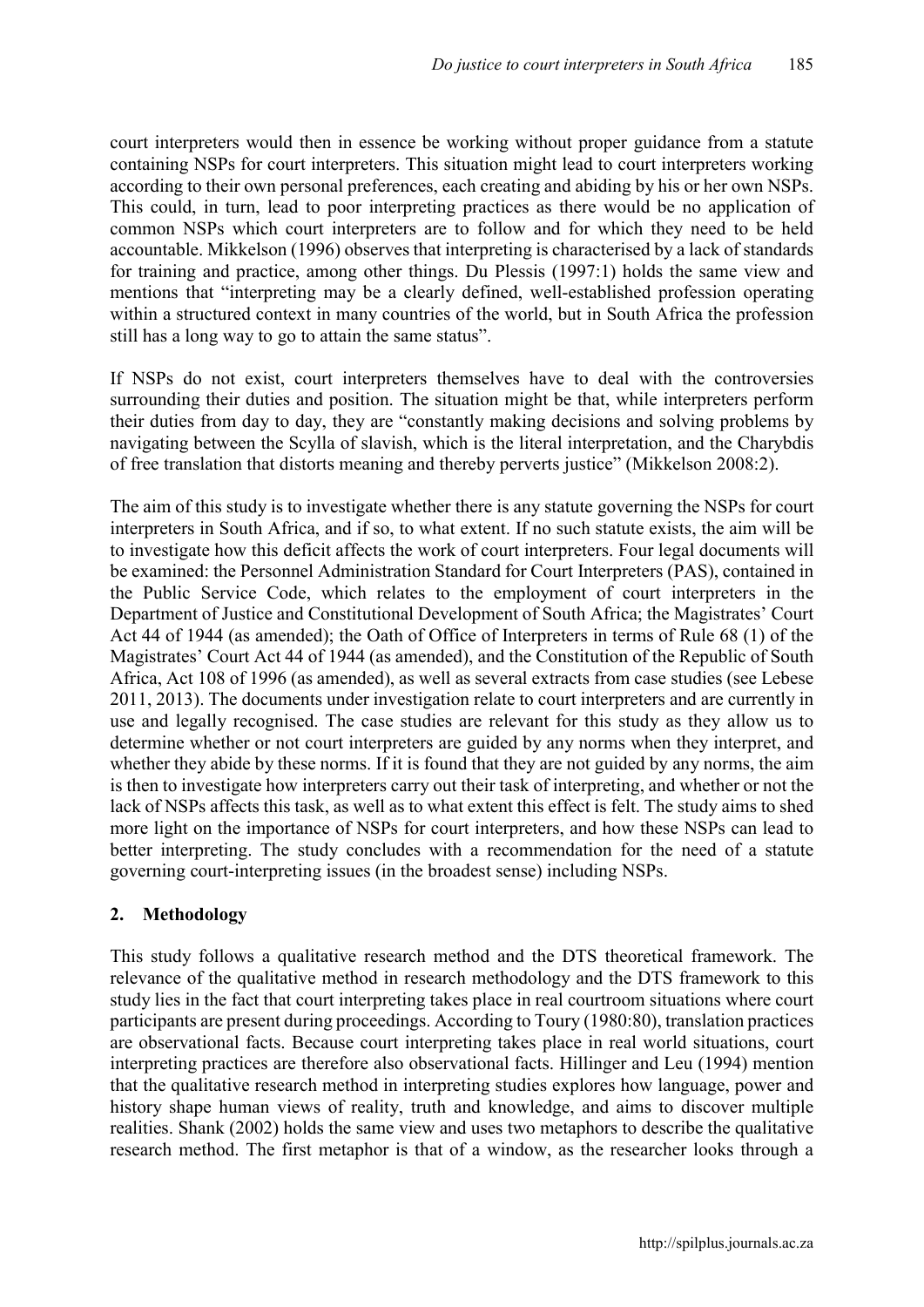court interpreters would then in essence be working without proper guidance from a statute containing NSPs for court interpreters. This situation might lead to court interpreters working according to their own personal preferences, each creating and abiding by his or her own NSPs. This could, in turn, lead to poor interpreting practices as there would be no application of common NSPs which court interpreters are to follow and for which they need to be held accountable. Mikkelson (1996) observes that interpreting is characterised by a lack of standards for training and practice, among other things. Du Plessis (1997:1) holds the same view and mentions that "interpreting may be a clearly defined, well-established profession operating within a structured context in many countries of the world, but in South Africa the profession still has a long way to go to attain the same status".

If NSPs do not exist, court interpreters themselves have to deal with the controversies surrounding their duties and position. The situation might be that, while interpreters perform their duties from day to day, they are "constantly making decisions and solving problems by navigating between the Scylla of slavish, which is the literal interpretation, and the Charybdis of free translation that distorts meaning and thereby perverts justice" (Mikkelson 2008:2).

The aim of this study is to investigate whether there is any statute governing the NSPs for court interpreters in South Africa, and if so, to what extent. If no such statute exists, the aim will be to investigate how this deficit affects the work of court interpreters. Four legal documents will be examined: the Personnel Administration Standard for Court Interpreters (PAS), contained in the Public Service Code, which relates to the employment of court interpreters in the Department of Justice and Constitutional Development of South Africa; the Magistrates' Court Act 44 of 1944 (as amended); the Oath of Office of Interpreters in terms of Rule 68 (1) of the Magistrates' Court Act 44 of 1944 (as amended), and the Constitution of the Republic of South Africa, Act 108 of 1996 (as amended), as well as several extracts from case studies (see Lebese 2011, 2013). The documents under investigation relate to court interpreters and are currently in use and legally recognised. The case studies are relevant for this study as they allow us to determine whether or not court interpreters are guided by any norms when they interpret, and whether they abide by these norms. If it is found that they are not guided by any norms, the aim is then to investigate how interpreters carry out their task of interpreting, and whether or not the lack of NSPs affects this task, as well as to what extent this effect is felt. The study aims to shed more light on the importance of NSPs for court interpreters, and how these NSPs can lead to better interpreting. The study concludes with a recommendation for the need of a statute governing court-interpreting issues (in the broadest sense) including NSPs.

# 2. Methodology

This study follows a qualitative research method and the DTS theoretical framework. The relevance of the qualitative method in research methodology and the DTS framework to this study lies in the fact that court interpreting takes place in real courtroom situations where court participants are present during proceedings. According to Toury (1980:80), translation practices are observational facts. Because court interpreting takes place in real world situations, court interpreting practices are therefore also observational facts. Hillinger and Leu (1994) mention that the qualitative research method in interpreting studies explores how language, power and history shape human views of reality, truth and knowledge, and aims to discover multiple realities. Shank (2002) holds the same view and uses two metaphors to describe the qualitative research method. The first metaphor is that of a window, as the researcher looks through a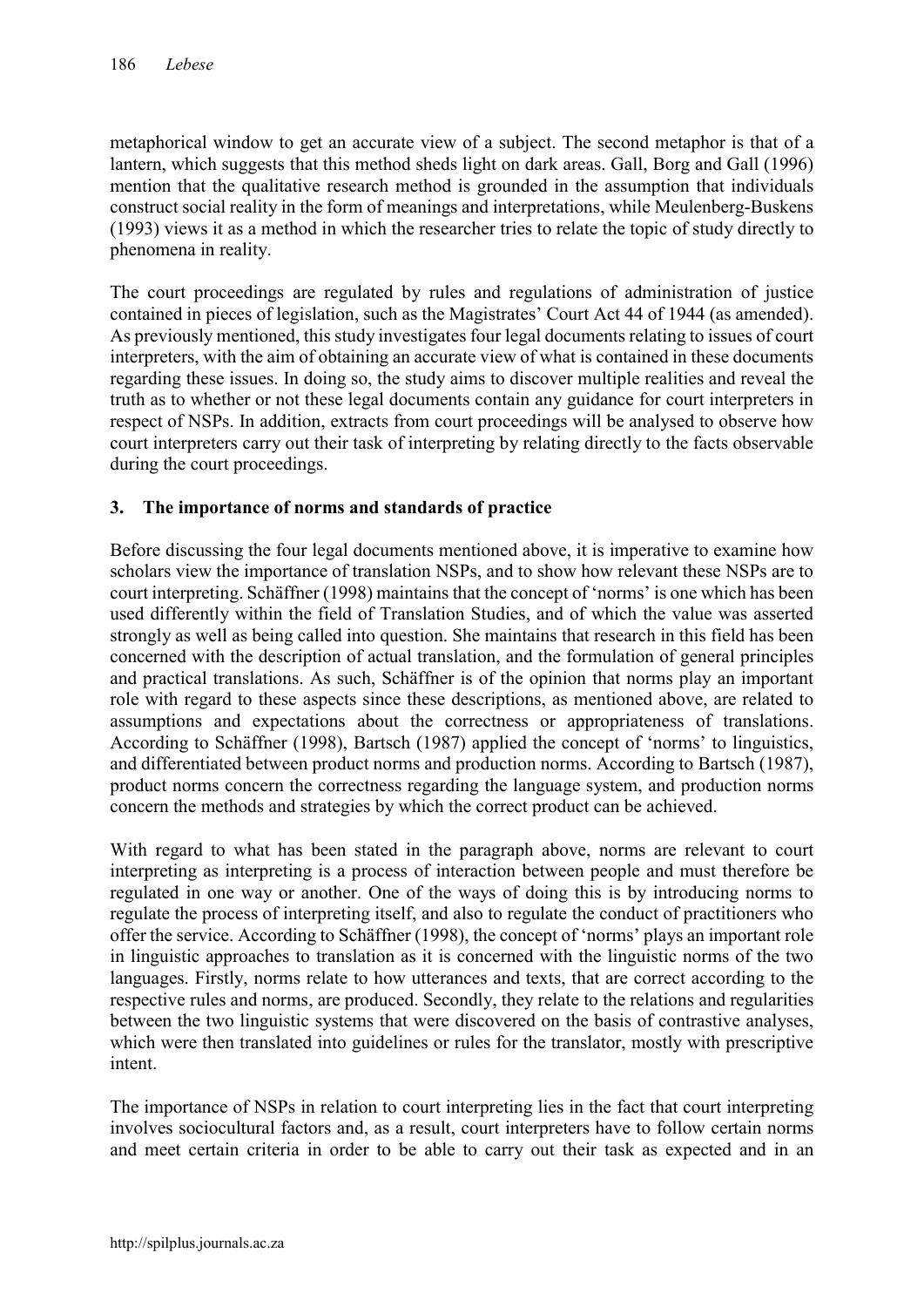metaphorical window to get an accurate view of a subject. The second metaphor is that of a lantern, which suggests that this method sheds light on dark areas. Gall, Borg and Gall (1996) mention that the qualitative research method is grounded in the assumption that individuals construct social reality in the form of meanings and interpretations, while Meulenberg-Buskens (1993) views it as a method in which the researcher tries to relate the topic of study directly to phenomena in reality.

The court proceedings are regulated by rules and regulations of administration of justice contained in pieces of legislation, such as the Magistrates' Court Act 44 of 1944 (as amended). As previously mentioned, this study investigates four legal documents relating to issues of court interpreters, with the aim of obtaining an accurate view of what is contained in these documents regarding these issues. In doing so, the study aims to discover multiple realities and reveal the truth as to whether or not these legal documents contain any guidance for court interpreters in respect of NSPs. In addition, extracts from court proceedings will be analysed to observe how court interpreters carry out their task of interpreting by relating directly to the facts observable during the court proceedings.

# 3. The importance of norms and standards of practice

Before discussing the four legal documents mentioned above, it is imperative to examine how scholars view the importance of translation NSPs, and to show how relevant these NSPs are to court interpreting. Schäffner (1998) maintains that the concept of 'norms' is one which has been used differently within the field of Translation Studies, and of which the value was asserted strongly as well as being called into question. She maintains that research in this field has been concerned with the description of actual translation, and the formulation of general principles and practical translations. As such, Schäffner is of the opinion that norms play an important role with regard to these aspects since these descriptions, as mentioned above, are related to assumptions and expectations about the correctness or appropriateness of translations. According to Schäffner (1998), Bartsch (1987) applied the concept of 'norms' to linguistics, and differentiated between product norms and production norms. According to Bartsch (1987), product norms concern the correctness regarding the language system, and production norms concern the methods and strategies by which the correct product can be achieved.

With regard to what has been stated in the paragraph above, norms are relevant to court interpreting as interpreting is a process of interaction between people and must therefore be regulated in one way or another. One of the ways of doing this is by introducing norms to regulate the process of interpreting itself, and also to regulate the conduct of practitioners who offer the service. According to Schäffner (1998), the concept of 'norms' plays an important role in linguistic approaches to translation as it is concerned with the linguistic norms of the two languages. Firstly, norms relate to how utterances and texts, that are correct according to the respective rules and norms, are produced. Secondly, they relate to the relations and regularities between the two linguistic systems that were discovered on the basis of contrastive analyses, which were then translated into guidelines or rules for the translator, mostly with prescriptive intent.

The importance of NSPs in relation to court interpreting lies in the fact that court interpreting involves sociocultural factors and, as a result, court interpreters have to follow certain norms and meet certain criteria in order to be able to carry out their task as expected and in an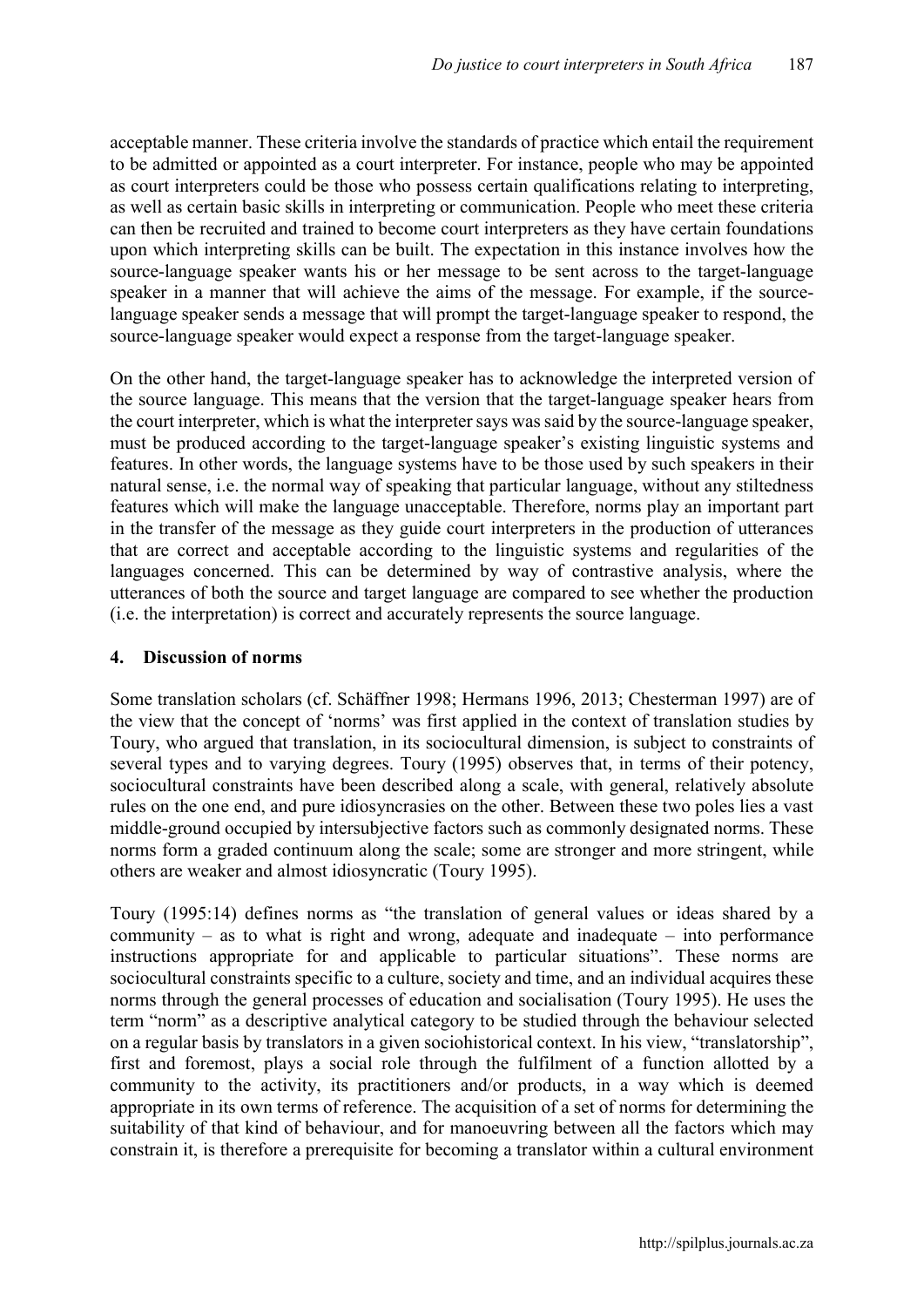acceptable manner. These criteria involve the standards of practice which entail the requirement to be admitted or appointed as a court interpreter. For instance, people who may be appointed as court interpreters could be those who possess certain qualifications relating to interpreting, as well as certain basic skills in interpreting or communication. People who meet these criteria can then be recruited and trained to become court interpreters as they have certain foundations upon which interpreting skills can be built. The expectation in this instance involves how the source-language speaker wants his or her message to be sent across to the target-language speaker in a manner that will achieve the aims of the message. For example, if the sourcelanguage speaker sends a message that will prompt the target-language speaker to respond, the source-language speaker would expect a response from the target-language speaker.

On the other hand, the target-language speaker has to acknowledge the interpreted version of the source language. This means that the version that the target-language speaker hears from the court interpreter, which is what the interpreter says was said by the source-language speaker, must be produced according to the target-language speaker's existing linguistic systems and features. In other words, the language systems have to be those used by such speakers in their natural sense, i.e. the normal way of speaking that particular language, without any stiltedness features which will make the language unacceptable. Therefore, norms play an important part in the transfer of the message as they guide court interpreters in the production of utterances that are correct and acceptable according to the linguistic systems and regularities of the languages concerned. This can be determined by way of contrastive analysis, where the utterances of both the source and target language are compared to see whether the production (i.e. the interpretation) is correct and accurately represents the source language.

## 4. Discussion of norms

Some translation scholars (cf. Schäffner 1998; Hermans 1996, 2013; Chesterman 1997) are of the view that the concept of 'norms' was first applied in the context of translation studies by Toury, who argued that translation, in its sociocultural dimension, is subject to constraints of several types and to varying degrees. Toury (1995) observes that, in terms of their potency, sociocultural constraints have been described along a scale, with general, relatively absolute rules on the one end, and pure idiosyncrasies on the other. Between these two poles lies a vast middle-ground occupied by intersubjective factors such as commonly designated norms. These norms form a graded continuum along the scale; some are stronger and more stringent, while others are weaker and almost idiosyncratic (Toury 1995).

Toury (1995:14) defines norms as "the translation of general values or ideas shared by a community – as to what is right and wrong, adequate and inadequate – into performance instructions appropriate for and applicable to particular situations". These norms are sociocultural constraints specific to a culture, society and time, and an individual acquires these norms through the general processes of education and socialisation (Toury 1995). He uses the term "norm" as a descriptive analytical category to be studied through the behaviour selected on a regular basis by translators in a given sociohistorical context. In his view, "translatorship", first and foremost, plays a social role through the fulfilment of a function allotted by a community to the activity, its practitioners and/or products, in a way which is deemed appropriate in its own terms of reference. The acquisition of a set of norms for determining the suitability of that kind of behaviour, and for manoeuvring between all the factors which may constrain it, is therefore a prerequisite for becoming a translator within a cultural environment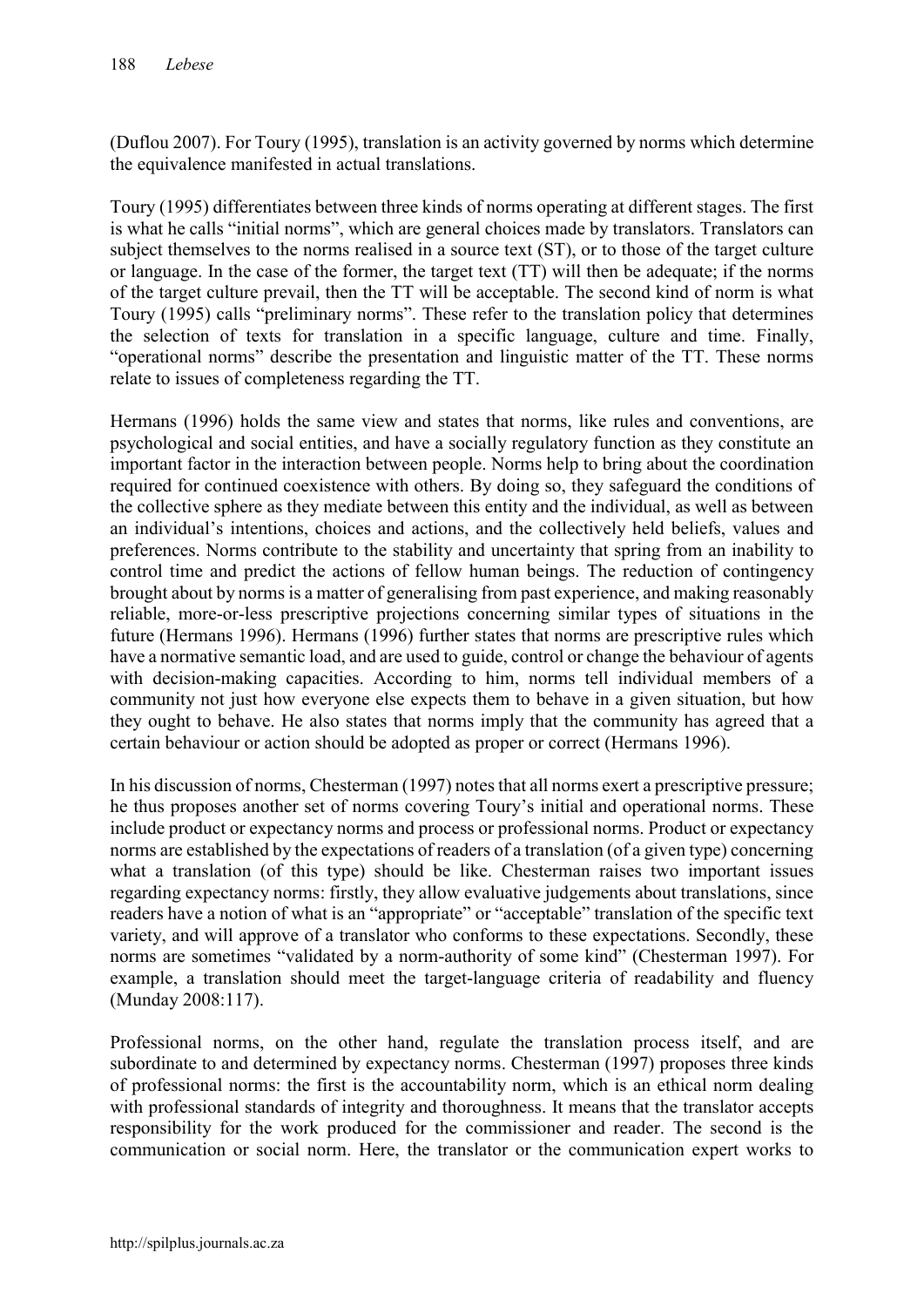(Duflou 2007). For Toury (1995), translation is an activity governed by norms which determine the equivalence manifested in actual translations.

Toury (1995) differentiates between three kinds of norms operating at different stages. The first is what he calls "initial norms", which are general choices made by translators. Translators can subject themselves to the norms realised in a source text (ST), or to those of the target culture or language. In the case of the former, the target text (TT) will then be adequate; if the norms of the target culture prevail, then the TT will be acceptable. The second kind of norm is what Toury (1995) calls "preliminary norms". These refer to the translation policy that determines the selection of texts for translation in a specific language, culture and time. Finally, "operational norms" describe the presentation and linguistic matter of the TT. These norms relate to issues of completeness regarding the TT.

Hermans (1996) holds the same view and states that norms, like rules and conventions, are psychological and social entities, and have a socially regulatory function as they constitute an important factor in the interaction between people. Norms help to bring about the coordination required for continued coexistence with others. By doing so, they safeguard the conditions of the collective sphere as they mediate between this entity and the individual, as well as between an individual's intentions, choices and actions, and the collectively held beliefs, values and preferences. Norms contribute to the stability and uncertainty that spring from an inability to control time and predict the actions of fellow human beings. The reduction of contingency brought about by norms is a matter of generalising from past experience, and making reasonably reliable, more-or-less prescriptive projections concerning similar types of situations in the future (Hermans 1996). Hermans (1996) further states that norms are prescriptive rules which have a normative semantic load, and are used to guide, control or change the behaviour of agents with decision-making capacities. According to him, norms tell individual members of a community not just how everyone else expects them to behave in a given situation, but how they ought to behave. He also states that norms imply that the community has agreed that a certain behaviour or action should be adopted as proper or correct (Hermans 1996).

In his discussion of norms, Chesterman (1997) notes that all norms exert a prescriptive pressure; he thus proposes another set of norms covering Toury's initial and operational norms. These include product or expectancy norms and process or professional norms. Product or expectancy norms are established by the expectations of readers of a translation (of a given type) concerning what a translation (of this type) should be like. Chesterman raises two important issues regarding expectancy norms: firstly, they allow evaluative judgements about translations, since readers have a notion of what is an "appropriate" or "acceptable" translation of the specific text variety, and will approve of a translator who conforms to these expectations. Secondly, these norms are sometimes "validated by a norm-authority of some kind" (Chesterman 1997). For example, a translation should meet the target-language criteria of readability and fluency (Munday 2008:117).

Professional norms, on the other hand, regulate the translation process itself, and are subordinate to and determined by expectancy norms. Chesterman (1997) proposes three kinds of professional norms: the first is the accountability norm, which is an ethical norm dealing with professional standards of integrity and thoroughness. It means that the translator accepts responsibility for the work produced for the commissioner and reader. The second is the communication or social norm. Here, the translator or the communication expert works to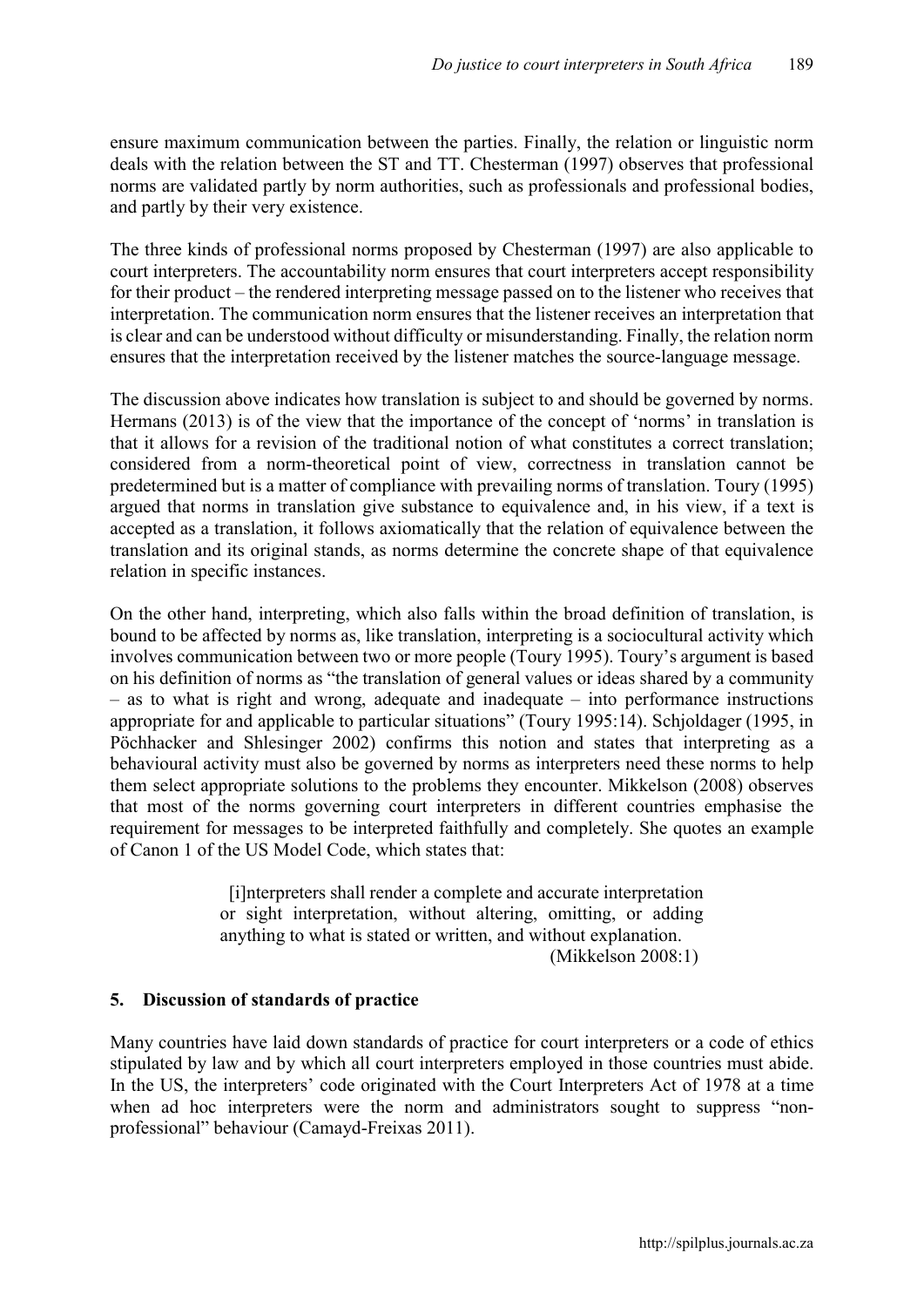ensure maximum communication between the parties. Finally, the relation or linguistic norm deals with the relation between the ST and TT. Chesterman (1997) observes that professional norms are validated partly by norm authorities, such as professionals and professional bodies, and partly by their very existence.

The three kinds of professional norms proposed by Chesterman (1997) are also applicable to court interpreters. The accountability norm ensures that court interpreters accept responsibility for their product – the rendered interpreting message passed on to the listener who receives that interpretation. The communication norm ensures that the listener receives an interpretation that is clear and can be understood without difficulty or misunderstanding. Finally, the relation norm ensures that the interpretation received by the listener matches the source-language message.

The discussion above indicates how translation is subject to and should be governed by norms. Hermans (2013) is of the view that the importance of the concept of 'norms' in translation is that it allows for a revision of the traditional notion of what constitutes a correct translation; considered from a norm-theoretical point of view, correctness in translation cannot be predetermined but is a matter of compliance with prevailing norms of translation. Toury (1995) argued that norms in translation give substance to equivalence and, in his view, if a text is accepted as a translation, it follows axiomatically that the relation of equivalence between the translation and its original stands, as norms determine the concrete shape of that equivalence relation in specific instances.

On the other hand, interpreting, which also falls within the broad definition of translation, is bound to be affected by norms as, like translation, interpreting is a sociocultural activity which involves communication between two or more people (Toury 1995). Toury's argument is based on his definition of norms as "the translation of general values or ideas shared by a community – as to what is right and wrong, adequate and inadequate – into performance instructions appropriate for and applicable to particular situations" (Toury 1995:14). Schjoldager (1995, in Pöchhacker and Shlesinger 2002) confirms this notion and states that interpreting as a behavioural activity must also be governed by norms as interpreters need these norms to help them select appropriate solutions to the problems they encounter. Mikkelson (2008) observes that most of the norms governing court interpreters in different countries emphasise the requirement for messages to be interpreted faithfully and completely. She quotes an example of Canon 1 of the US Model Code, which states that:

> [i]nterpreters shall render a complete and accurate interpretation or sight interpretation, without altering, omitting, or adding anything to what is stated or written, and without explanation. (Mikkelson 2008:1)

#### 5. Discussion of standards of practice

Many countries have laid down standards of practice for court interpreters or a code of ethics stipulated by law and by which all court interpreters employed in those countries must abide. In the US, the interpreters' code originated with the Court Interpreters Act of 1978 at a time when ad hoc interpreters were the norm and administrators sought to suppress "nonprofessional" behaviour (Camayd-Freixas 2011).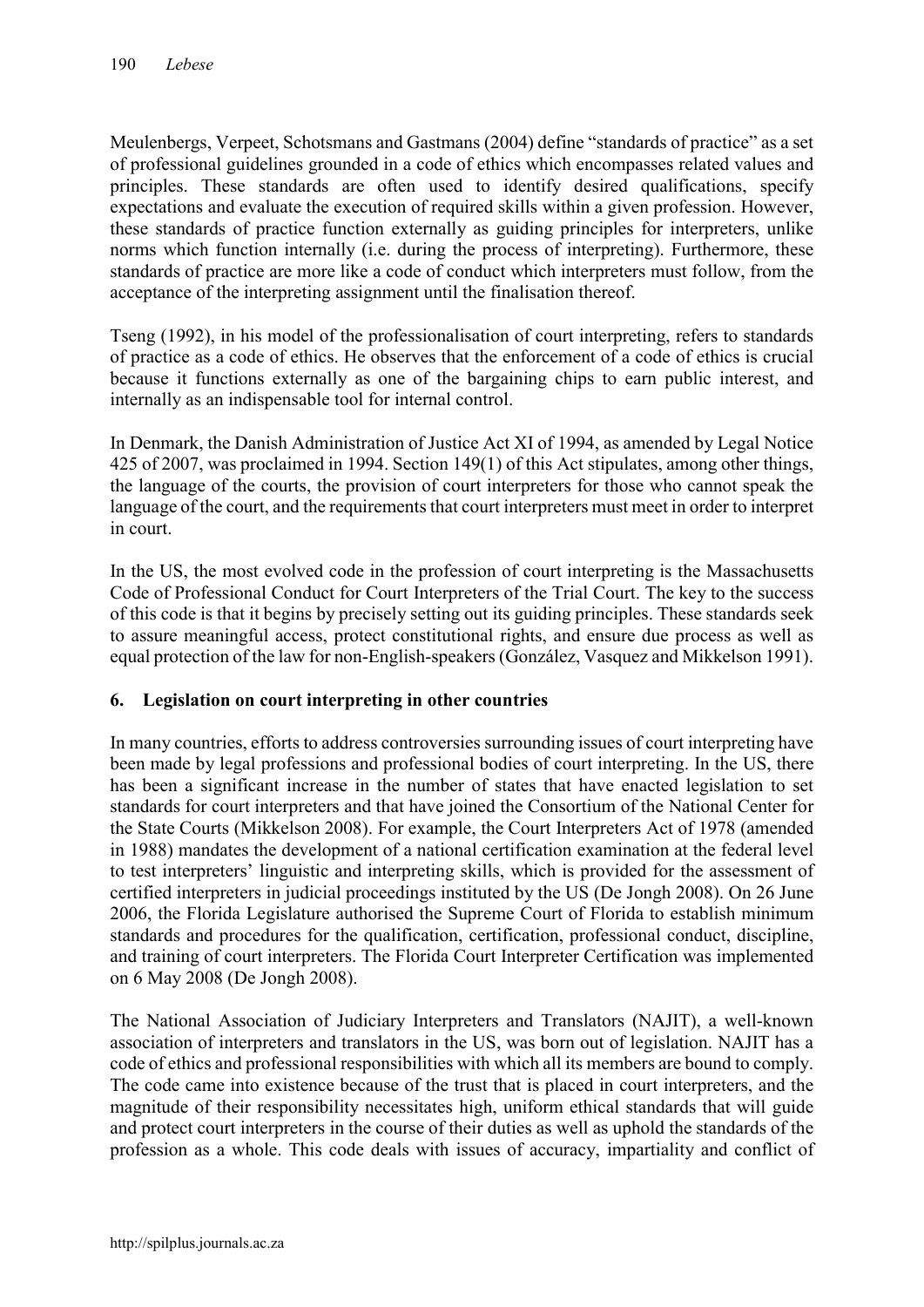Meulenbergs, Verpeet, Schotsmans and Gastmans (2004) define "standards of practice" as a set of professional guidelines grounded in a code of ethics which encompasses related values and principles. These standards are often used to identify desired qualifications, specify expectations and evaluate the execution of required skills within a given profession. However, these standards of practice function externally as guiding principles for interpreters, unlike norms which function internally (i.e. during the process of interpreting). Furthermore, these standards of practice are more like a code of conduct which interpreters must follow, from the acceptance of the interpreting assignment until the finalisation thereof.

Tseng (1992), in his model of the professionalisation of court interpreting, refers to standards of practice as a code of ethics. He observes that the enforcement of a code of ethics is crucial because it functions externally as one of the bargaining chips to earn public interest, and internally as an indispensable tool for internal control.

In Denmark, the Danish Administration of Justice Act XI of 1994, as amended by Legal Notice 425 of 2007, was proclaimed in 1994. Section 149(1) of this Act stipulates, among other things, the language of the courts, the provision of court interpreters for those who cannot speak the language of the court, and the requirements that court interpreters must meet in order to interpret in court.

In the US, the most evolved code in the profession of court interpreting is the Massachusetts Code of Professional Conduct for Court Interpreters of the Trial Court. The key to the success of this code is that it begins by precisely setting out its guiding principles. These standards seek to assure meaningful access, protect constitutional rights, and ensure due process as well as equal protection of the law for non-English-speakers (González, Vasquez and Mikkelson 1991).

# 6. Legislation on court interpreting in other countries

In many countries, efforts to address controversies surrounding issues of court interpreting have been made by legal professions and professional bodies of court interpreting. In the US, there has been a significant increase in the number of states that have enacted legislation to set standards for court interpreters and that have joined the Consortium of the National Center for the State Courts (Mikkelson 2008). For example, the Court Interpreters Act of 1978 (amended in 1988) mandates the development of a national certification examination at the federal level to test interpreters' linguistic and interpreting skills, which is provided for the assessment of certified interpreters in judicial proceedings instituted by the US (De Jongh 2008). On 26 June 2006, the Florida Legislature authorised the Supreme Court of Florida to establish minimum standards and procedures for the qualification, certification, professional conduct, discipline, and training of court interpreters. The Florida Court Interpreter Certification was implemented on 6 May 2008 (De Jongh 2008).

The National Association of Judiciary Interpreters and Translators (NAJIT), a well-known association of interpreters and translators in the US, was born out of legislation. NAJIT has a code of ethics and professional responsibilities with which all its members are bound to comply. The code came into existence because of the trust that is placed in court interpreters, and the magnitude of their responsibility necessitates high, uniform ethical standards that will guide and protect court interpreters in the course of their duties as well as uphold the standards of the profession as a whole. This code deals with issues of accuracy, impartiality and conflict of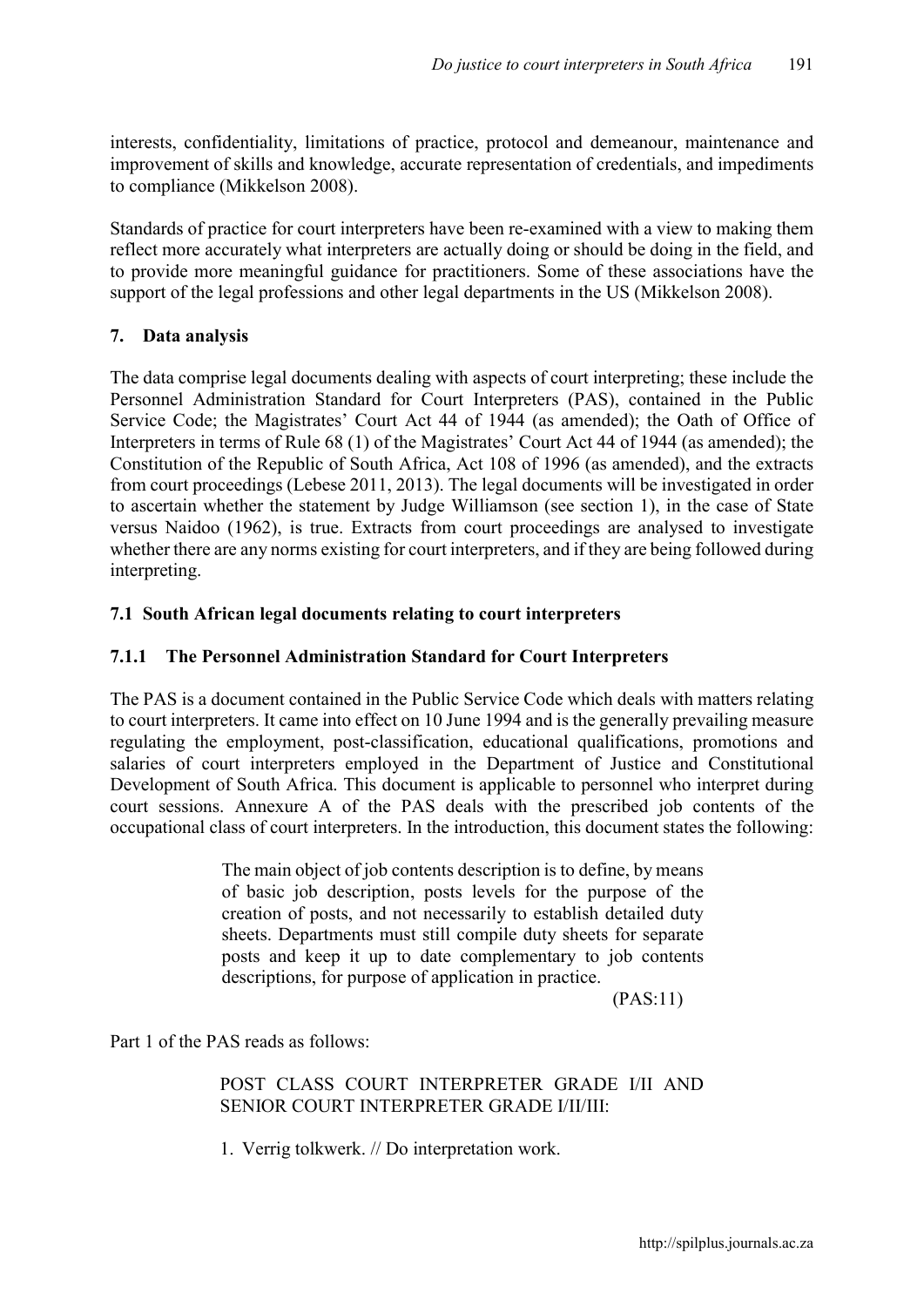interests, confidentiality, limitations of practice, protocol and demeanour, maintenance and improvement of skills and knowledge, accurate representation of credentials, and impediments to compliance (Mikkelson 2008).

Standards of practice for court interpreters have been re-examined with a view to making them reflect more accurately what interpreters are actually doing or should be doing in the field, and to provide more meaningful guidance for practitioners. Some of these associations have the support of the legal professions and other legal departments in the US (Mikkelson 2008).

# 7. Data analysis

The data comprise legal documents dealing with aspects of court interpreting; these include the Personnel Administration Standard for Court Interpreters (PAS), contained in the Public Service Code; the Magistrates' Court Act 44 of 1944 (as amended); the Oath of Office of Interpreters in terms of Rule 68 (1) of the Magistrates' Court Act 44 of 1944 (as amended); the Constitution of the Republic of South Africa, Act 108 of 1996 (as amended), and the extracts from court proceedings (Lebese 2011, 2013). The legal documents will be investigated in order to ascertain whether the statement by Judge Williamson (see section 1), in the case of State versus Naidoo (1962), is true. Extracts from court proceedings are analysed to investigate whether there are any norms existing for court interpreters, and if they are being followed during interpreting.

# 7.1 South African legal documents relating to court interpreters

# 7.1.1 The Personnel Administration Standard for Court Interpreters

The PAS is a document contained in the Public Service Code which deals with matters relating to court interpreters. It came into effect on 10 June 1994 and is the generally prevailing measure regulating the employment, post-classification, educational qualifications, promotions and salaries of court interpreters employed in the Department of Justice and Constitutional Development of South Africa. This document is applicable to personnel who interpret during court sessions. Annexure A of the PAS deals with the prescribed job contents of the occupational class of court interpreters. In the introduction, this document states the following:

> The main object of job contents description is to define, by means of basic job description, posts levels for the purpose of the creation of posts, and not necessarily to establish detailed duty sheets. Departments must still compile duty sheets for separate posts and keep it up to date complementary to job contents descriptions, for purpose of application in practice.

> > (PAS:11)

Part 1 of the PAS reads as follows:

POST CLASS COURT INTERPRETER GRADE I/II AND SENIOR COURT INTERPRETER GRADE I/II/III:

1. Verrig tolkwerk. // Do interpretation work.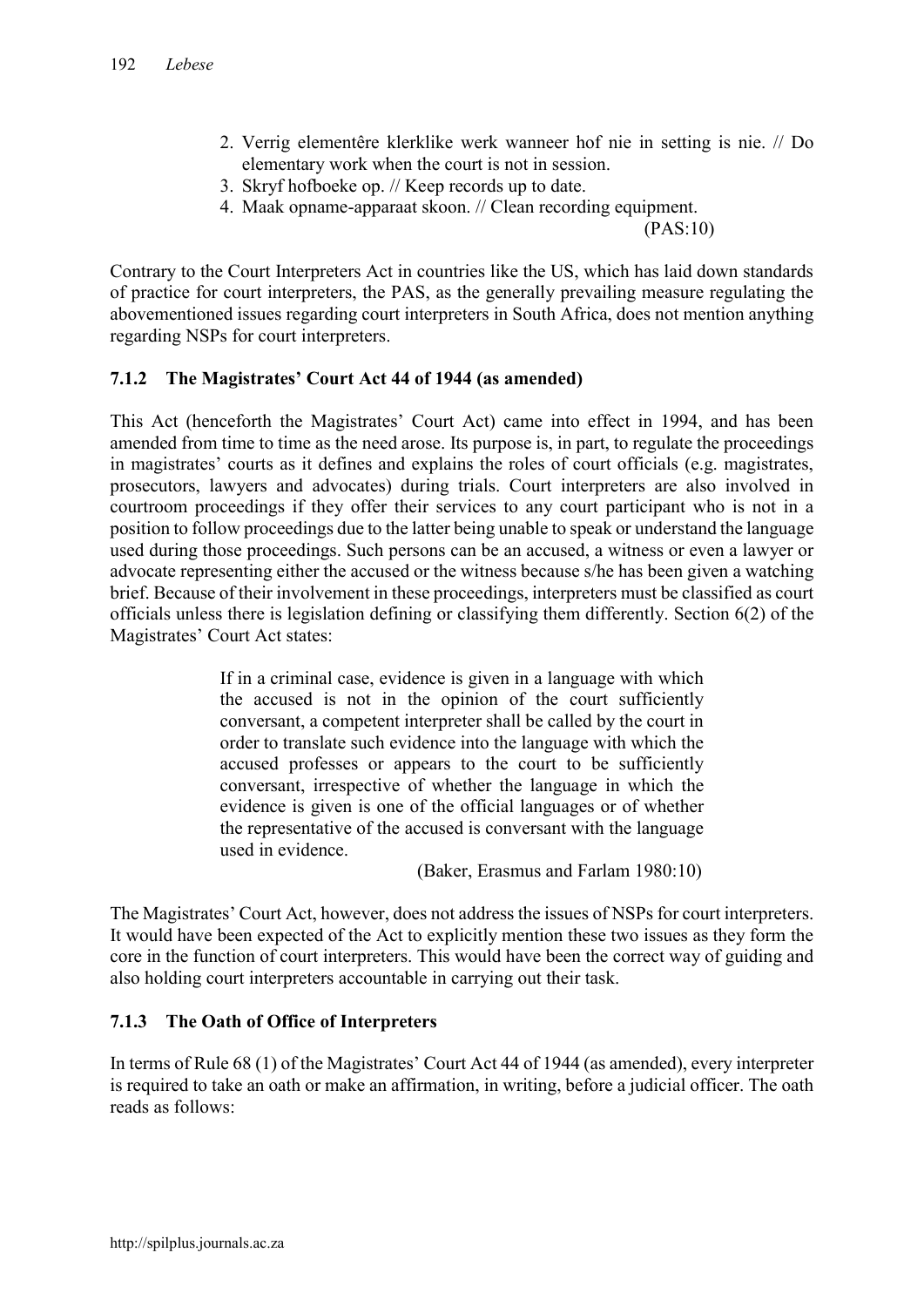- 2. Verrig elementêre klerklike werk wanneer hof nie in setting is nie. // Do elementary work when the court is not in session.
- 3. Skryf hofboeke op. // Keep records up to date.
- 4. Maak opname-apparaat skoon. // Clean recording equipment.

(PAS:10)

Contrary to the Court Interpreters Act in countries like the US, which has laid down standards of practice for court interpreters, the PAS, as the generally prevailing measure regulating the abovementioned issues regarding court interpreters in South Africa, does not mention anything regarding NSPs for court interpreters.

# 7.1.2 The Magistrates' Court Act 44 of 1944 (as amended)

This Act (henceforth the Magistrates' Court Act) came into effect in 1994, and has been amended from time to time as the need arose. Its purpose is, in part, to regulate the proceedings in magistrates' courts as it defines and explains the roles of court officials (e.g. magistrates, prosecutors, lawyers and advocates) during trials. Court interpreters are also involved in courtroom proceedings if they offer their services to any court participant who is not in a position to follow proceedings due to the latter being unable to speak or understand the language used during those proceedings. Such persons can be an accused, a witness or even a lawyer or advocate representing either the accused or the witness because s/he has been given a watching brief. Because of their involvement in these proceedings, interpreters must be classified as court officials unless there is legislation defining or classifying them differently. Section 6(2) of the Magistrates' Court Act states:

> If in a criminal case, evidence is given in a language with which the accused is not in the opinion of the court sufficiently conversant, a competent interpreter shall be called by the court in order to translate such evidence into the language with which the accused professes or appears to the court to be sufficiently conversant, irrespective of whether the language in which the evidence is given is one of the official languages or of whether the representative of the accused is conversant with the language used in evidence.

> > (Baker, Erasmus and Farlam 1980:10)

The Magistrates' Court Act, however, does not address the issues of NSPs for court interpreters. It would have been expected of the Act to explicitly mention these two issues as they form the core in the function of court interpreters. This would have been the correct way of guiding and also holding court interpreters accountable in carrying out their task.

# 7.1.3 The Oath of Office of Interpreters

In terms of Rule 68 (1) of the Magistrates' Court Act 44 of 1944 (as amended), every interpreter is required to take an oath or make an affirmation, in writing, before a judicial officer. The oath reads as follows: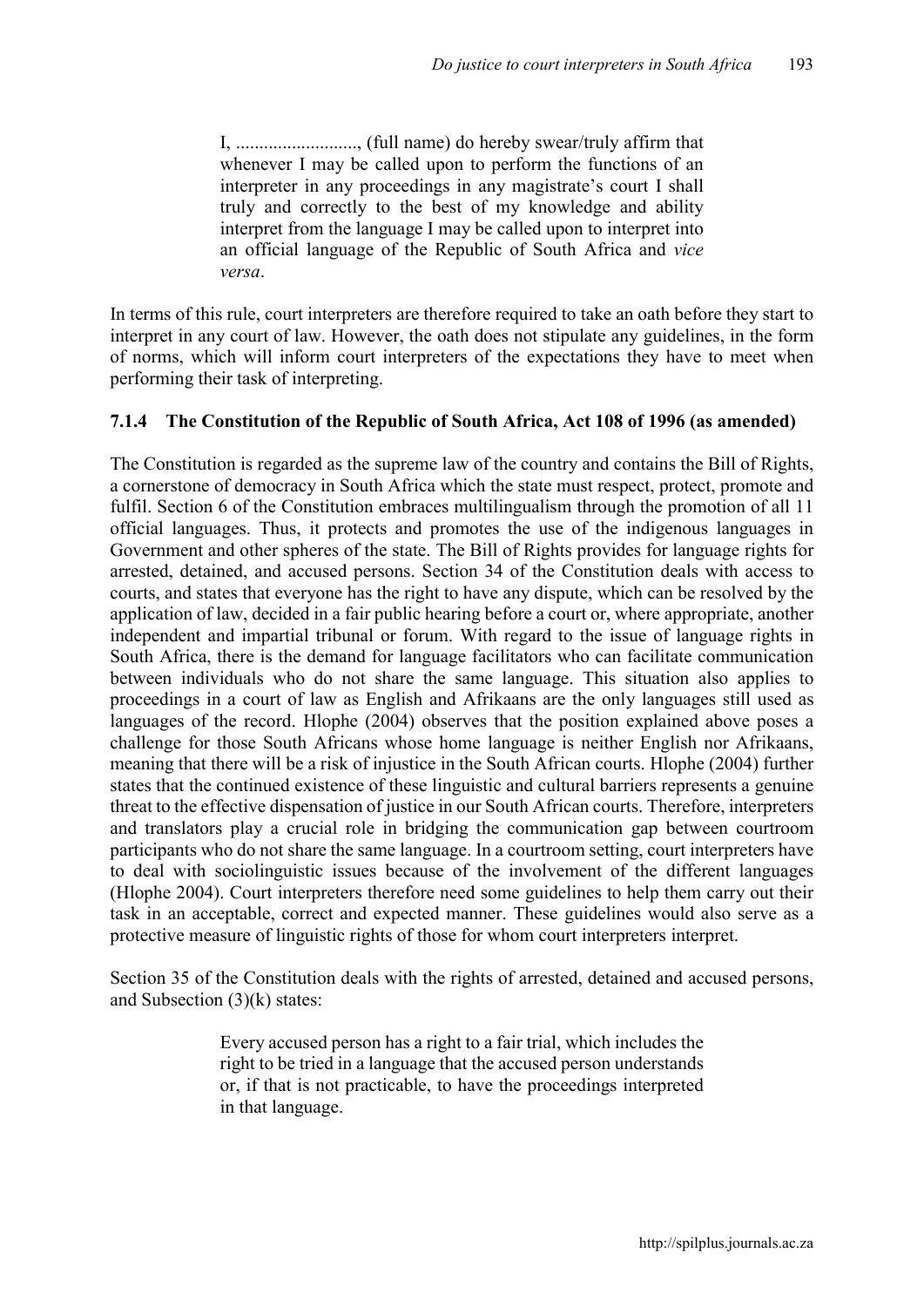I, .........................., (full name) do hereby swear/truly affirm that whenever I may be called upon to perform the functions of an interpreter in any proceedings in any magistrate's court I shall truly and correctly to the best of my knowledge and ability interpret from the language I may be called upon to interpret into an official language of the Republic of South Africa and *vice versa*.

In terms of this rule, court interpreters are therefore required to take an oath before they start to interpret in any court of law. However, the oath does not stipulate any guidelines, in the form of norms, which will inform court interpreters of the expectations they have to meet when performing their task of interpreting.

### 7.1.4 The Constitution of the Republic of South Africa, Act 108 of 1996 (as amended)

The Constitution is regarded as the supreme law of the country and contains the Bill of Rights, a cornerstone of democracy in South Africa which the state must respect, protect, promote and fulfil. Section 6 of the Constitution embraces multilingualism through the promotion of all 11 official languages. Thus, it protects and promotes the use of the indigenous languages in Government and other spheres of the state. The Bill of Rights provides for language rights for arrested, detained, and accused persons. Section 34 of the Constitution deals with access to courts, and states that everyone has the right to have any dispute, which can be resolved by the application of law, decided in a fair public hearing before a court or, where appropriate, another independent and impartial tribunal or forum. With regard to the issue of language rights in South Africa, there is the demand for language facilitators who can facilitate communication between individuals who do not share the same language. This situation also applies to proceedings in a court of law as English and Afrikaans are the only languages still used as languages of the record. Hlophe (2004) observes that the position explained above poses a challenge for those South Africans whose home language is neither English nor Afrikaans, meaning that there will be a risk of injustice in the South African courts. Hlophe (2004) further states that the continued existence of these linguistic and cultural barriers represents a genuine threat to the effective dispensation of justice in our South African courts. Therefore, interpreters and translators play a crucial role in bridging the communication gap between courtroom participants who do not share the same language. In a courtroom setting, court interpreters have to deal with sociolinguistic issues because of the involvement of the different languages (Hlophe 2004). Court interpreters therefore need some guidelines to help them carry out their task in an acceptable, correct and expected manner. These guidelines would also serve as a protective measure of linguistic rights of those for whom court interpreters interpret.

Section 35 of the Constitution deals with the rights of arrested, detained and accused persons, and Subsection  $(3)(k)$  states:

> Every accused person has a right to a fair trial, which includes the right to be tried in a language that the accused person understands or, if that is not practicable, to have the proceedings interpreted in that language.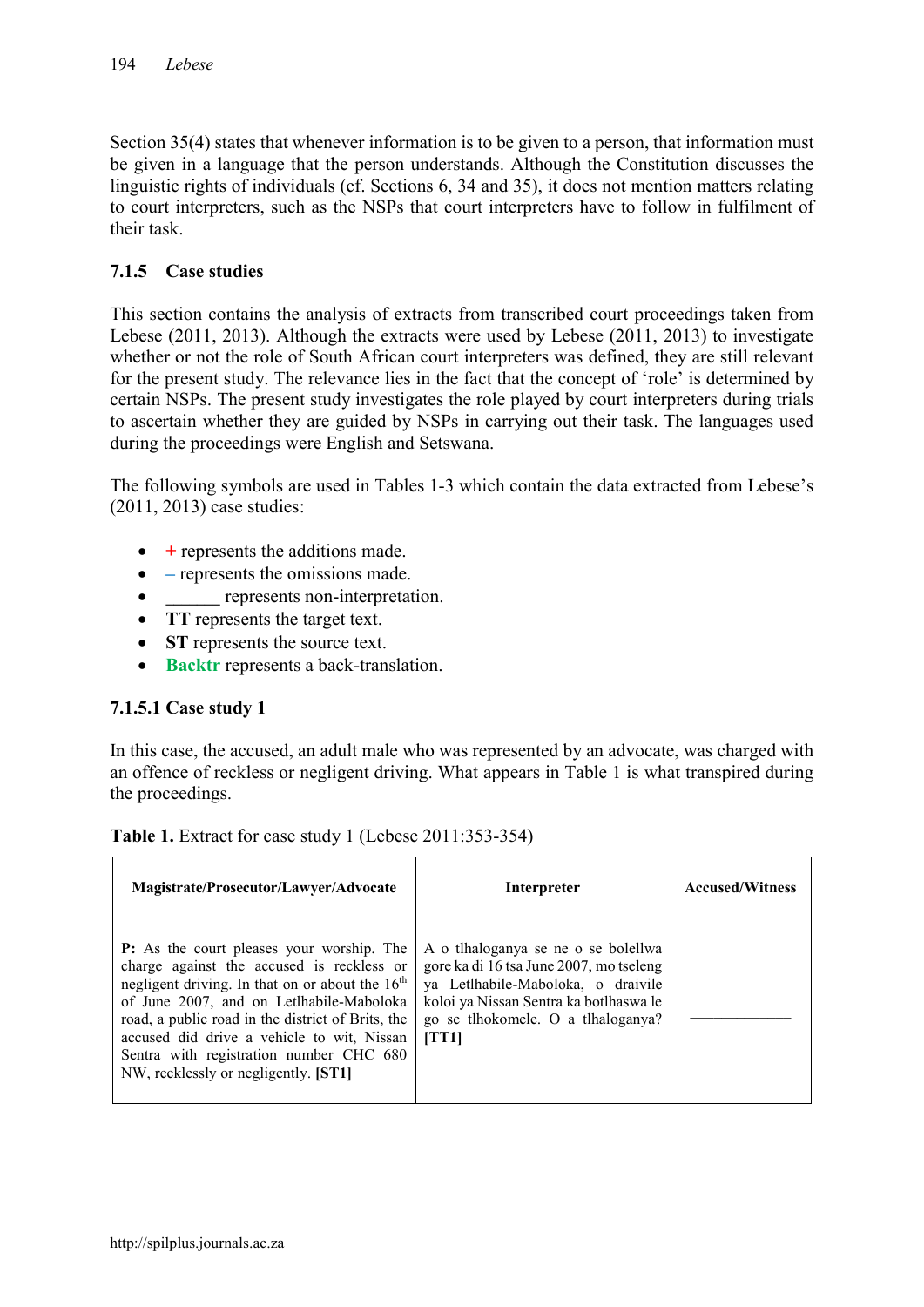Section 35(4) states that whenever information is to be given to a person, that information must be given in a language that the person understands. Although the Constitution discusses the linguistic rights of individuals (cf. Sections 6, 34 and 35), it does not mention matters relating to court interpreters, such as the NSPs that court interpreters have to follow in fulfilment of their task.

# 7.1.5 Case studies

This section contains the analysis of extracts from transcribed court proceedings taken from Lebese (2011, 2013). Although the extracts were used by Lebese (2011, 2013) to investigate whether or not the role of South African court interpreters was defined, they are still relevant for the present study. The relevance lies in the fact that the concept of 'role' is determined by certain NSPs. The present study investigates the role played by court interpreters during trials to ascertain whether they are guided by NSPs in carrying out their task. The languages used during the proceedings were English and Setswana.

The following symbols are used in Tables 1-3 which contain the data extracted from Lebese's (2011, 2013) case studies:

- $\bullet$  + represents the additions made.
- $\bullet$  represents the omissions made.
- \_\_\_\_\_\_\_ represents non-interpretation.
- TT represents the target text.
- ST represents the source text.
- Backtr represents a back-translation.

# 7.1.5.1 Case study 1

In this case, the accused, an adult male who was represented by an advocate, was charged with an offence of reckless or negligent driving. What appears in Table 1 is what transpired during the proceedings.

| Magistrate/Prosecutor/Lawyer/Advocate                                                                                                                                                                                                                                                                                                                                                | Interpreter                                                                                                                                                                                                        | <b>Accused/Witness</b> |
|--------------------------------------------------------------------------------------------------------------------------------------------------------------------------------------------------------------------------------------------------------------------------------------------------------------------------------------------------------------------------------------|--------------------------------------------------------------------------------------------------------------------------------------------------------------------------------------------------------------------|------------------------|
| <b>P:</b> As the court pleases your worship. The<br>charge against the accused is reckless or<br>negligent driving. In that on or about the $16th$<br>of June 2007, and on Letlhabile-Maboloka<br>road, a public road in the district of Brits, the<br>accused did drive a vehicle to wit, Nissan<br>Sentra with registration number CHC 680<br>NW, recklessly or negligently. [ST1] | A o thaloganya se ne o se bolellwa<br>gore ka di 16 tsa June 2007, mo tseleng<br>ya Letlhabile-Maboloka, o draivile<br>koloi ya Nissan Sentra ka botlhaswa le<br>go se tlhokomele. O a tlhaloganya?<br><b>TT11</b> |                        |

# Table 1. Extract for case study 1 (Lebese 2011:353-354)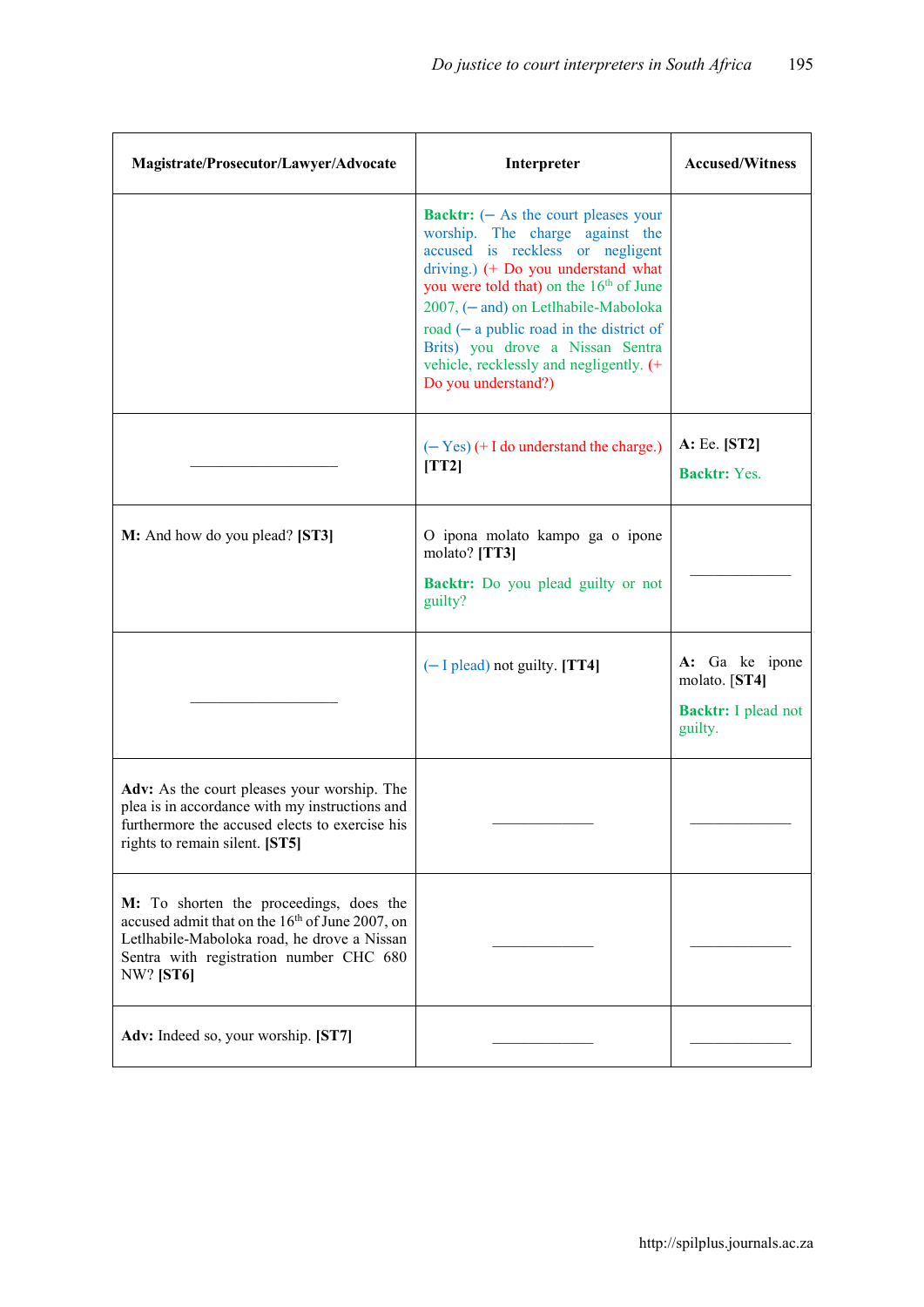| Magistrate/Prosecutor/Lawyer/Advocate                                                                                                                                                                                | Interpreter                                                                                                                                                                                                                                                                                                                                                                                                    | <b>Accused/Witness</b>                                                   |
|----------------------------------------------------------------------------------------------------------------------------------------------------------------------------------------------------------------------|----------------------------------------------------------------------------------------------------------------------------------------------------------------------------------------------------------------------------------------------------------------------------------------------------------------------------------------------------------------------------------------------------------------|--------------------------------------------------------------------------|
|                                                                                                                                                                                                                      | <b>Backtr:</b> $(-$ As the court pleases your<br>worship. The charge against the<br>accused is reckless or negligent<br>driving.) (+ Do you understand what<br>you were told that) on the 16 <sup>th</sup> of June<br>2007, (- and) on Letlhabile-Maboloka<br>road $(-a)$ public road in the district of<br>Brits) you drove a Nissan Sentra<br>vehicle, recklessly and negligently. (+<br>Do you understand?) |                                                                          |
|                                                                                                                                                                                                                      | $(-$ Yes) $(+$ I do understand the charge.)<br>[TT2]                                                                                                                                                                                                                                                                                                                                                           | A: Ee. [ST2]<br>Backtr: Yes.                                             |
| M: And how do you plead? [ST3]                                                                                                                                                                                       | O ipona molato kampo ga o ipone<br>molato? [TT3]<br><b>Backtr:</b> Do you plead guilty or not<br>guilty?                                                                                                                                                                                                                                                                                                       |                                                                          |
|                                                                                                                                                                                                                      | $(-$ I plead) not guilty. [TT4]                                                                                                                                                                                                                                                                                                                                                                                | A: Ga ke ipone<br>molato. [ST4]<br><b>Backtr:</b> I plead not<br>guilty. |
| Adv: As the court pleases your worship. The<br>plea is in accordance with my instructions and<br>furthermore the accused elects to exercise his<br>rights to remain silent. [ST5]                                    |                                                                                                                                                                                                                                                                                                                                                                                                                |                                                                          |
| M: To shorten the proceedings, does the<br>accused admit that on the 16 <sup>th</sup> of June 2007, on<br>Letlhabile-Maboloka road, he drove a Nissan<br>Sentra with registration number CHC 680<br><b>NW?</b> [ST6] |                                                                                                                                                                                                                                                                                                                                                                                                                |                                                                          |
| Adv: Indeed so, your worship. [ST7]                                                                                                                                                                                  |                                                                                                                                                                                                                                                                                                                                                                                                                |                                                                          |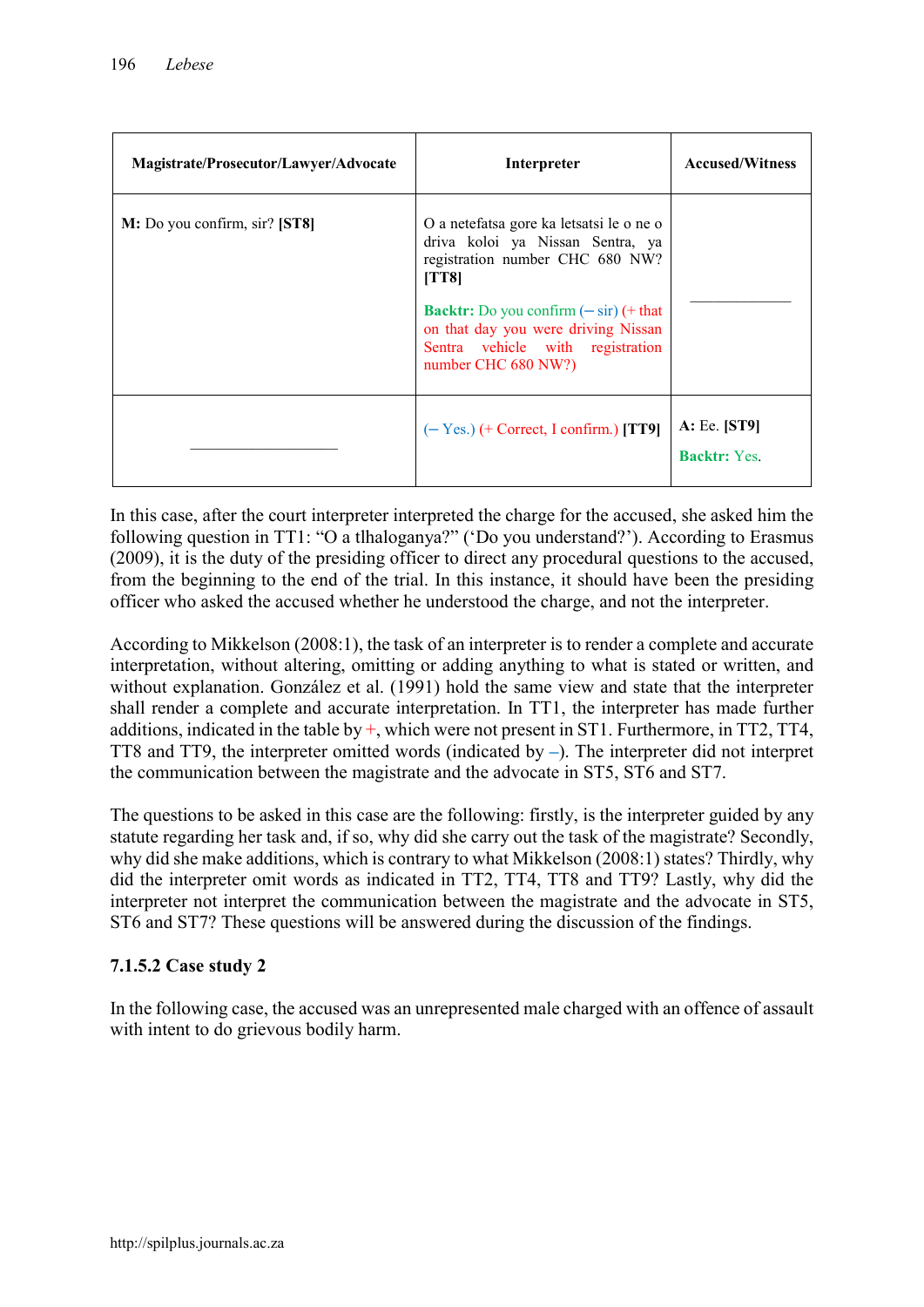| Magistrate/Prosecutor/Lawyer/Advocate | Interpreter                                                                                                                                                                                                                                                                         | <b>Accused/Witness</b>              |
|---------------------------------------|-------------------------------------------------------------------------------------------------------------------------------------------------------------------------------------------------------------------------------------------------------------------------------------|-------------------------------------|
| M: Do you confirm, sir? [ST8]         | O a netefatsa gore ka letsatsi le o ne o<br>driva koloi ya Nissan Sentra, ya<br>registration number CHC 680 NW?<br>[TT8]<br><b>Backtr:</b> Do you confirm $(-\sin)(+\text{that})$<br>on that day you were driving Nissan<br>Sentra vehicle with registration<br>number CHC 680 NW?) |                                     |
|                                       | $(- Yes.)$ (+ Correct, I confirm.) [TT9]                                                                                                                                                                                                                                            | A: Ee. [ST9]<br><b>Backtr:</b> Yes. |

In this case, after the court interpreter interpreted the charge for the accused, she asked him the following question in TT1: "O a tlhaloganya?" ('Do you understand?'). According to Erasmus (2009), it is the duty of the presiding officer to direct any procedural questions to the accused, from the beginning to the end of the trial. In this instance, it should have been the presiding officer who asked the accused whether he understood the charge, and not the interpreter.

According to Mikkelson (2008:1), the task of an interpreter is to render a complete and accurate interpretation, without altering, omitting or adding anything to what is stated or written, and without explanation. González et al. (1991) hold the same view and state that the interpreter shall render a complete and accurate interpretation. In TT1, the interpreter has made further additions, indicated in the table by +, which were not present in ST1. Furthermore, in TT2, TT4, TT8 and TT9, the interpreter omitted words (indicated by –). The interpreter did not interpret the communication between the magistrate and the advocate in ST5, ST6 and ST7.

The questions to be asked in this case are the following: firstly, is the interpreter guided by any statute regarding her task and, if so, why did she carry out the task of the magistrate? Secondly, why did she make additions, which is contrary to what Mikkelson (2008:1) states? Thirdly, why did the interpreter omit words as indicated in TT2, TT4, TT8 and TT9? Lastly, why did the interpreter not interpret the communication between the magistrate and the advocate in ST5, ST6 and ST7? These questions will be answered during the discussion of the findings.

# 7.1.5.2 Case study 2

In the following case, the accused was an unrepresented male charged with an offence of assault with intent to do grievous bodily harm.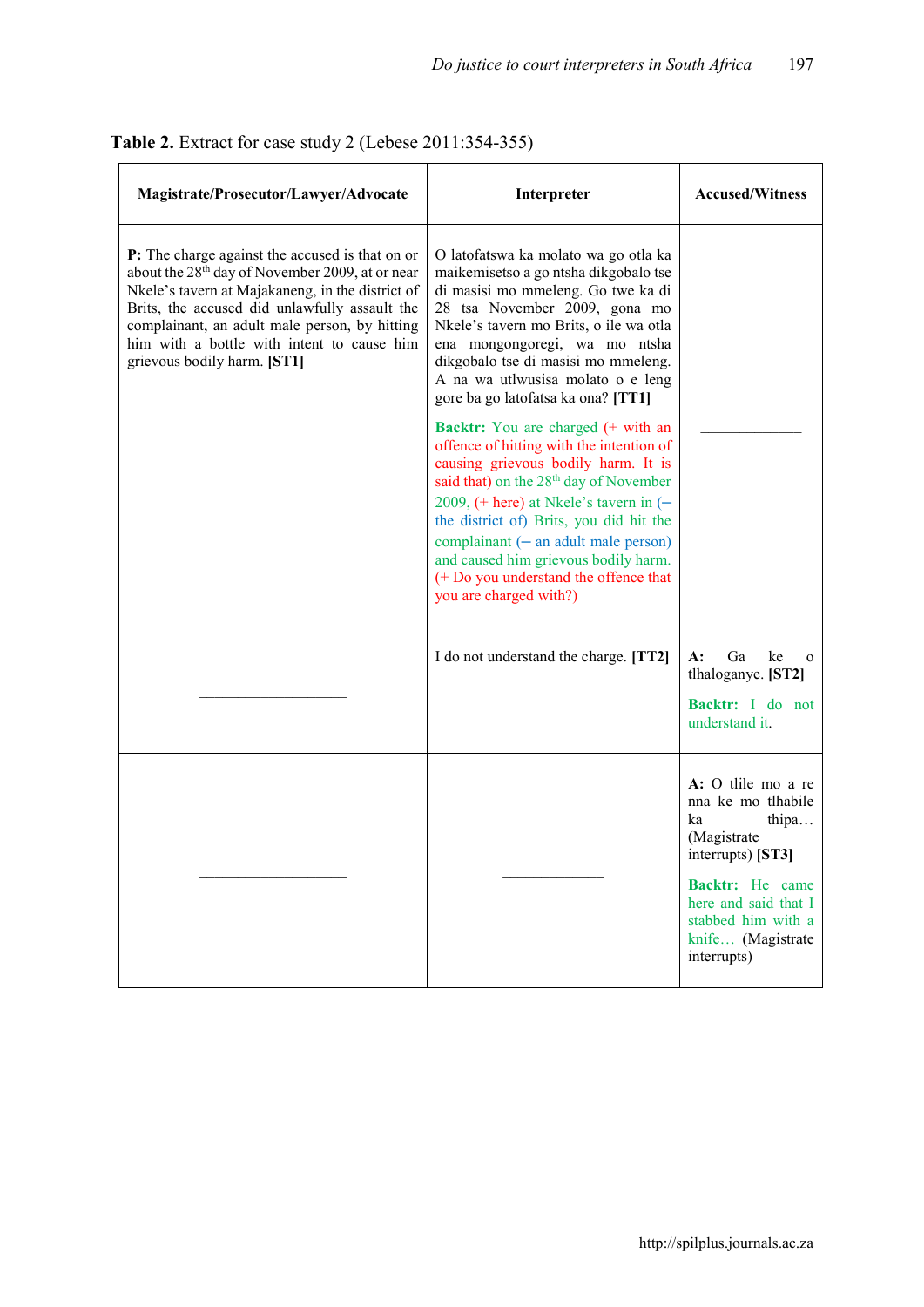| Magistrate/Prosecutor/Lawyer/Advocate                                                                                                                                                                                                                                                                                                             | Interpreter                                                                                                                                                                                                                                                                                                                                                                                                                       | <b>Accused/Witness</b>                                                                                                                                                                            |
|---------------------------------------------------------------------------------------------------------------------------------------------------------------------------------------------------------------------------------------------------------------------------------------------------------------------------------------------------|-----------------------------------------------------------------------------------------------------------------------------------------------------------------------------------------------------------------------------------------------------------------------------------------------------------------------------------------------------------------------------------------------------------------------------------|---------------------------------------------------------------------------------------------------------------------------------------------------------------------------------------------------|
| P: The charge against the accused is that on or<br>about the 28 <sup>th</sup> day of November 2009, at or near<br>Nkele's tavern at Majakaneng, in the district of<br>Brits, the accused did unlawfully assault the<br>complainant, an adult male person, by hitting<br>him with a bottle with intent to cause him<br>grievous bodily harm. [ST1] | O latofatswa ka molato wa go otla ka<br>maikemisetso a go ntsha dikgobalo tse<br>di masisi mo mmeleng. Go twe ka di<br>28 tsa November 2009, gona mo<br>Nkele's tavern mo Brits, o ile wa otla<br>ena mongongoregi, wa mo ntsha<br>dikgobalo tse di masisi mo mmeleng.<br>A na wa utlwusisa molato o e leng<br>gore ba go latofatsa ka ona? [TT1]                                                                                 |                                                                                                                                                                                                   |
|                                                                                                                                                                                                                                                                                                                                                   | <b>Backtr:</b> You are charged (+ with an<br>offence of hitting with the intention of<br>causing grievous bodily harm. It is<br>said that) on the 28 <sup>th</sup> day of November<br>2009, $(+$ here) at Nkele's tavern in $(-)$<br>the district of) Brits, you did hit the<br>complainant $(-$ an adult male person)<br>and caused him grievous bodily harm.<br>(+ Do you understand the offence that<br>you are charged with?) |                                                                                                                                                                                                   |
|                                                                                                                                                                                                                                                                                                                                                   | I do not understand the charge. [TT2]                                                                                                                                                                                                                                                                                                                                                                                             | Ga<br>$A$ :<br>ke<br>$\mathbf 0$<br>tlhaloganye. [ST2]<br>Backtr: I do not<br>understand it.                                                                                                      |
|                                                                                                                                                                                                                                                                                                                                                   |                                                                                                                                                                                                                                                                                                                                                                                                                                   | A: O tlile mo a re<br>nna ke mo tlhabile<br>ka<br>thipa<br>(Magistrate)<br>interrupts) [ST3]<br>Backtr: He came<br>here and said that I<br>stabbed him with a<br>knife (Magistrate<br>interrupts) |

# Table 2. Extract for case study 2 (Lebese 2011:354-355)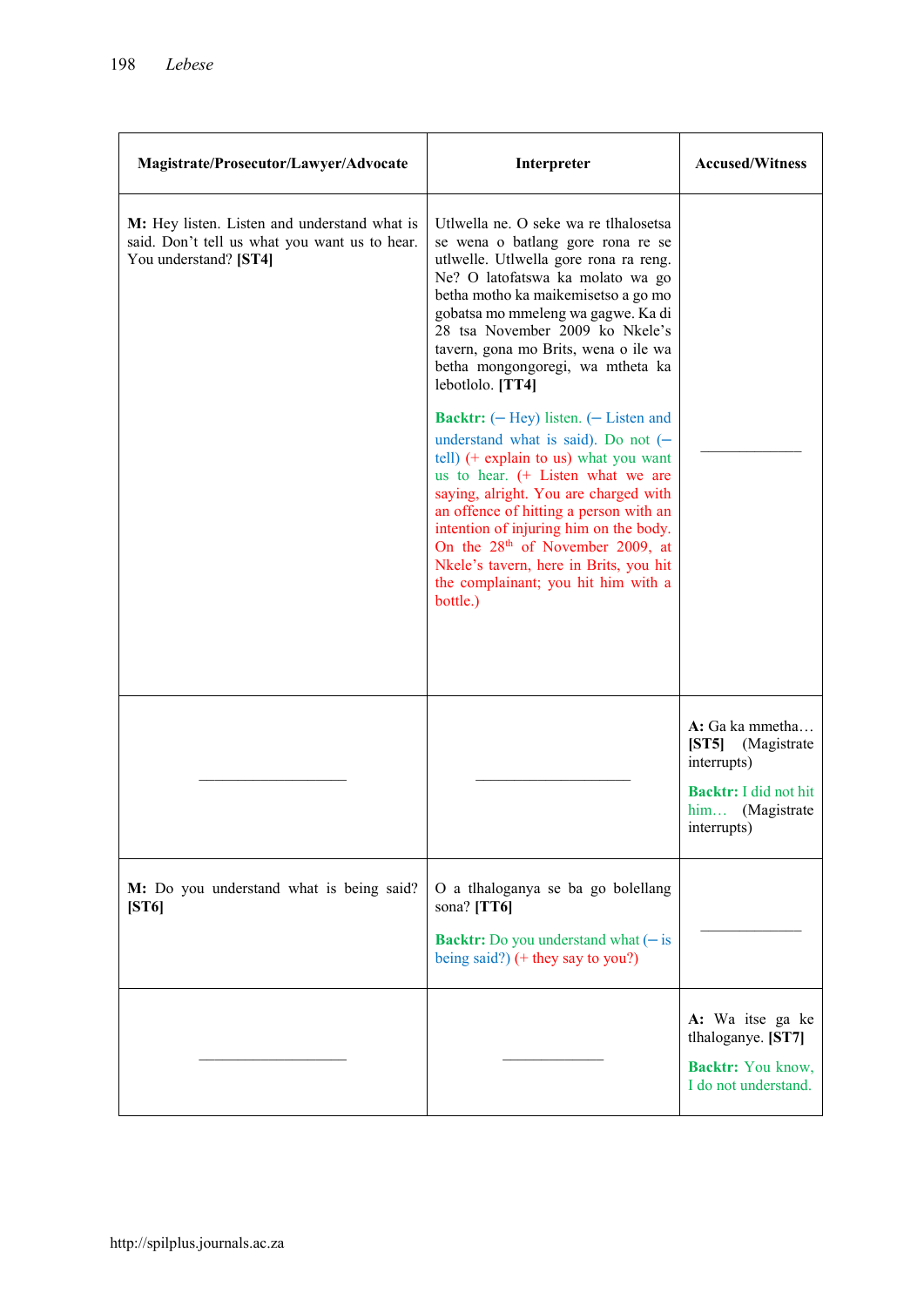| Magistrate/Prosecutor/Lawyer/Advocate                                                                                  | Interpreter                                                                                                                                                                                                                                                                                                                                                                                                                                   | <b>Accused/Witness</b>                                                                                         |
|------------------------------------------------------------------------------------------------------------------------|-----------------------------------------------------------------------------------------------------------------------------------------------------------------------------------------------------------------------------------------------------------------------------------------------------------------------------------------------------------------------------------------------------------------------------------------------|----------------------------------------------------------------------------------------------------------------|
| M: Hey listen. Listen and understand what is<br>said. Don't tell us what you want us to hear.<br>You understand? [ST4] | Utlwella ne. O seke wa re tlhalosetsa<br>se wena o batlang gore rona re se<br>utlwelle. Utlwella gore rona ra reng.<br>Ne? O latofatswa ka molato wa go<br>betha motho ka maikemisetso a go mo<br>gobatsa mo mmeleng wa gagwe. Ka di<br>28 tsa November 2009 ko Nkele's<br>tavern, gona mo Brits, wena o ile wa<br>betha mongongoregi, wa mtheta ka<br>lebotlolo. [TT4]                                                                       |                                                                                                                |
|                                                                                                                        | <b>Backtr:</b> $(-$ Hey) listen. $(-$ Listen and<br>understand what is said). Do not $(-$<br>tell) $($ + explain to us) what you want<br>us to hear. $(+)$ Listen what we are<br>saying, alright. You are charged with<br>an offence of hitting a person with an<br>intention of injuring him on the body.<br>On the $28th$ of November 2009, at<br>Nkele's tavern, here in Brits, you hit<br>the complainant; you hit him with a<br>bottle.) |                                                                                                                |
|                                                                                                                        |                                                                                                                                                                                                                                                                                                                                                                                                                                               | A: Ga ka mmetha<br>[ST5] (Magistrate<br>interrupts)<br>Backtr: I did not hit<br>him (Magistrate<br>interrupts) |
| M: Do you understand what is being said?<br>[ST6]                                                                      | O a tlhaloganya se ba go bolellang<br>sona? $[TT6]$<br><b>Backtr:</b> Do you understand what $(-$ is<br>being said?) $(+)$ they say to you?)                                                                                                                                                                                                                                                                                                  |                                                                                                                |
|                                                                                                                        |                                                                                                                                                                                                                                                                                                                                                                                                                                               | A: Wa itse ga ke<br>tlhaloganye. [ST7]<br>Backtr: You know,<br>I do not understand.                            |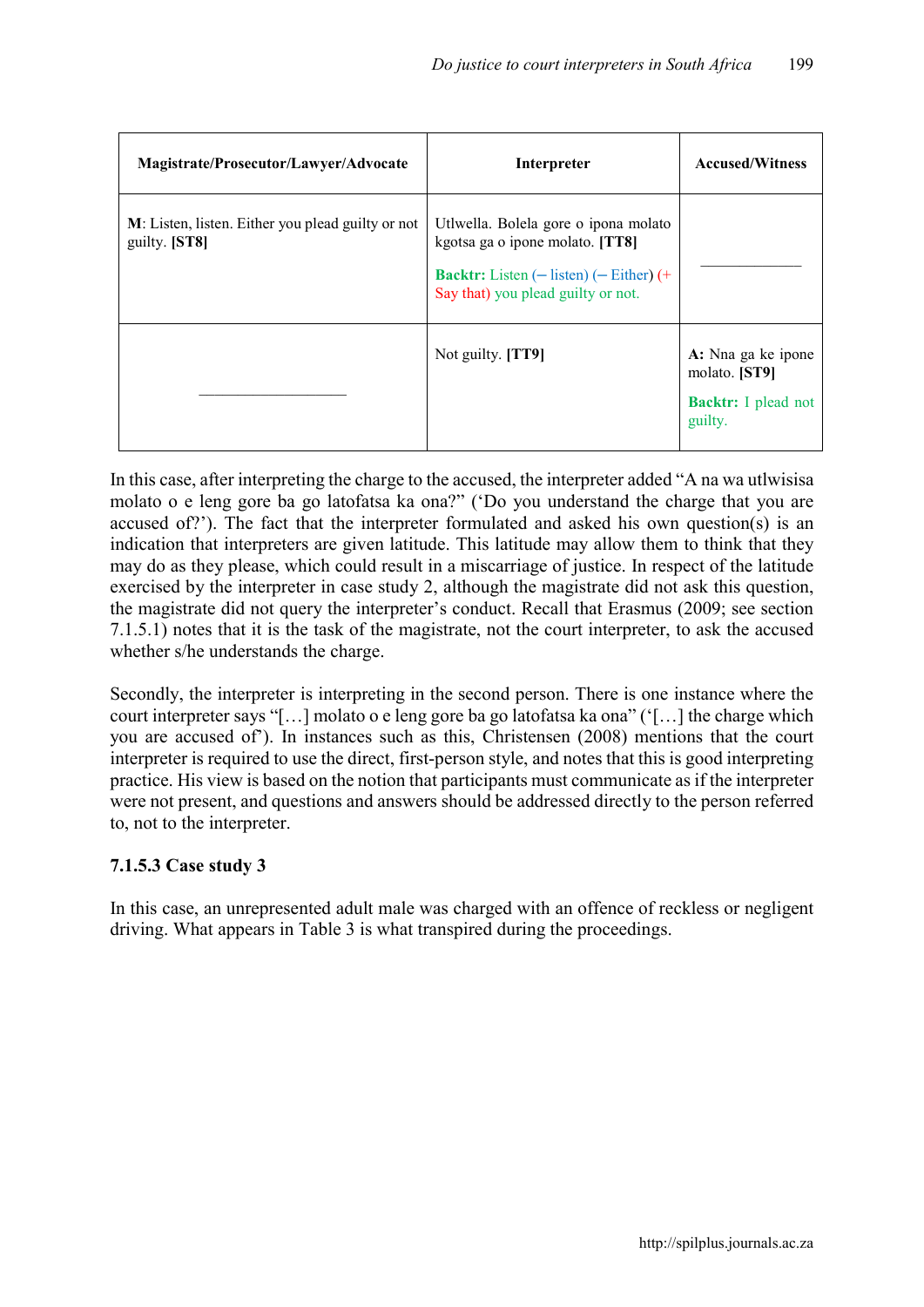| Magistrate/Prosecutor/Lawyer/Advocate                              | Interpreter                                                                                                                                                           | <b>Accused/Witness</b>                                                       |
|--------------------------------------------------------------------|-----------------------------------------------------------------------------------------------------------------------------------------------------------------------|------------------------------------------------------------------------------|
| M: Listen, listen. Either you plead guilty or not<br>guilty. [ST8] | Utlwella. Bolela gore o ipona molato<br>kgotsa ga o ipone molato. [TT8]<br><b>Backtr:</b> Listen $(-$ listen) $(-$ Either) $(+$<br>Say that) you plead guilty or not. |                                                                              |
|                                                                    | Not guilty. [TT9]                                                                                                                                                     | A: Nna ga ke ipone<br>molato. [ST9]<br><b>Backtr:</b> I plead not<br>guilty. |

In this case, after interpreting the charge to the accused, the interpreter added "A na wa utlwisisa molato o e leng gore ba go latofatsa ka ona?" ('Do you understand the charge that you are accused of?'). The fact that the interpreter formulated and asked his own question(s) is an indication that interpreters are given latitude. This latitude may allow them to think that they may do as they please, which could result in a miscarriage of justice. In respect of the latitude exercised by the interpreter in case study 2, although the magistrate did not ask this question, the magistrate did not query the interpreter's conduct. Recall that Erasmus (2009; see section 7.1.5.1) notes that it is the task of the magistrate, not the court interpreter, to ask the accused whether s/he understands the charge.

Secondly, the interpreter is interpreting in the second person. There is one instance where the court interpreter says "[…] molato o e leng gore ba go latofatsa ka ona" ('[…] the charge which you are accused of'). In instances such as this, Christensen (2008) mentions that the court interpreter is required to use the direct, first-person style, and notes that this is good interpreting practice. His view is based on the notion that participants must communicate as if the interpreter were not present, and questions and answers should be addressed directly to the person referred to, not to the interpreter.

# 7.1.5.3 Case study 3

In this case, an unrepresented adult male was charged with an offence of reckless or negligent driving. What appears in Table 3 is what transpired during the proceedings.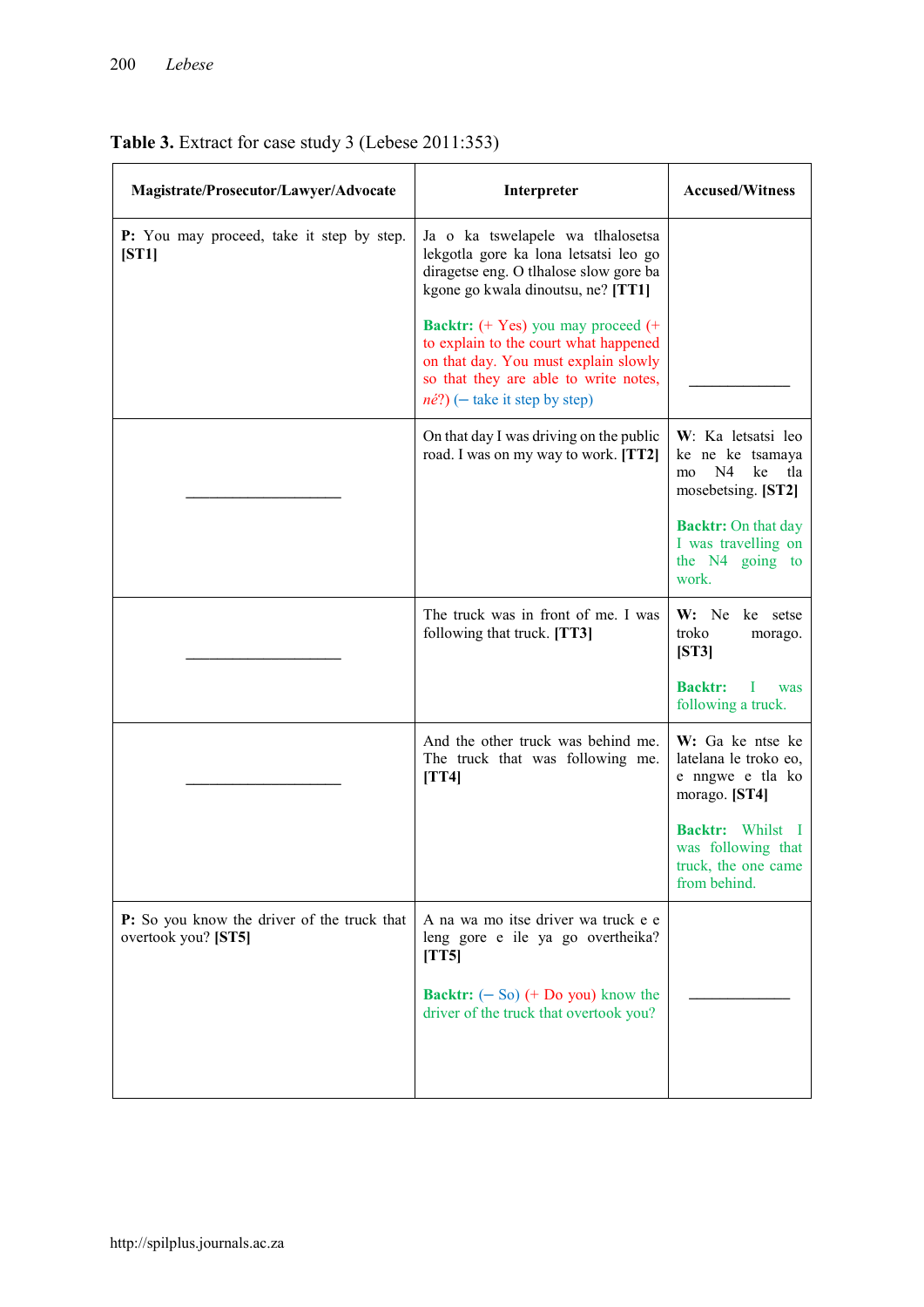| Magistrate/Prosecutor/Lawyer/Advocate                              | Interpreter                                                                                                                                                                                                     | <b>Accused/Witness</b>                                                                |
|--------------------------------------------------------------------|-----------------------------------------------------------------------------------------------------------------------------------------------------------------------------------------------------------------|---------------------------------------------------------------------------------------|
| P: You may proceed, take it step by step.<br>[ST1]                 | Ja o ka tswelapele wa tlhalosetsa<br>lekgotla gore ka lona letsatsi leo go<br>diragetse eng. O tlhalose slow gore ba<br>kgone go kwala dinoutsu, ne? [TT1]                                                      |                                                                                       |
|                                                                    | <b>Backtr:</b> (+ Yes) you may proceed (+<br>to explain to the court what happened<br>on that day. You must explain slowly<br>so that they are able to write notes,<br>$n\acute{e}$ ?) (- take it step by step) |                                                                                       |
|                                                                    | On that day I was driving on the public<br>road. I was on my way to work. [TT2]                                                                                                                                 | W: Ka letsatsi leo<br>ke ne ke tsamaya<br>N4<br>ke<br>mo<br>tla<br>mosebetsing. [ST2] |
|                                                                    |                                                                                                                                                                                                                 | <b>Backtr:</b> On that day<br>I was travelling on<br>the N4 going to<br>work.         |
|                                                                    | The truck was in front of me. I was<br>following that truck. [TT3]                                                                                                                                              | $W:$ Ne<br>ke setse<br>troko<br>morago.<br>$\left[ST3\right]$                         |
|                                                                    |                                                                                                                                                                                                                 | <b>Backtr:</b><br>Ι<br>was<br>following a truck.                                      |
|                                                                    | And the other truck was behind me.<br>The truck that was following me.<br>[TT4]                                                                                                                                 | W: Ga ke ntse ke<br>latelana le troko eo,<br>e nngwe e tla ko<br>morago. [ST4]        |
|                                                                    |                                                                                                                                                                                                                 | <b>Backtr:</b> Whilst I<br>was following that<br>truck, the one came<br>from behind.  |
| P: So you know the driver of the truck that<br>overtook you? [ST5] | A na wa mo itse driver wa truck e e<br>leng gore e ile ya go overtheika?<br>[TT5]                                                                                                                               |                                                                                       |
|                                                                    | <b>Backtr:</b> $(-S_0)$ $(+$ Do you) know the<br>driver of the truck that overtook you?                                                                                                                         |                                                                                       |
|                                                                    |                                                                                                                                                                                                                 |                                                                                       |

# Table 3. Extract for case study 3 (Lebese 2011:353)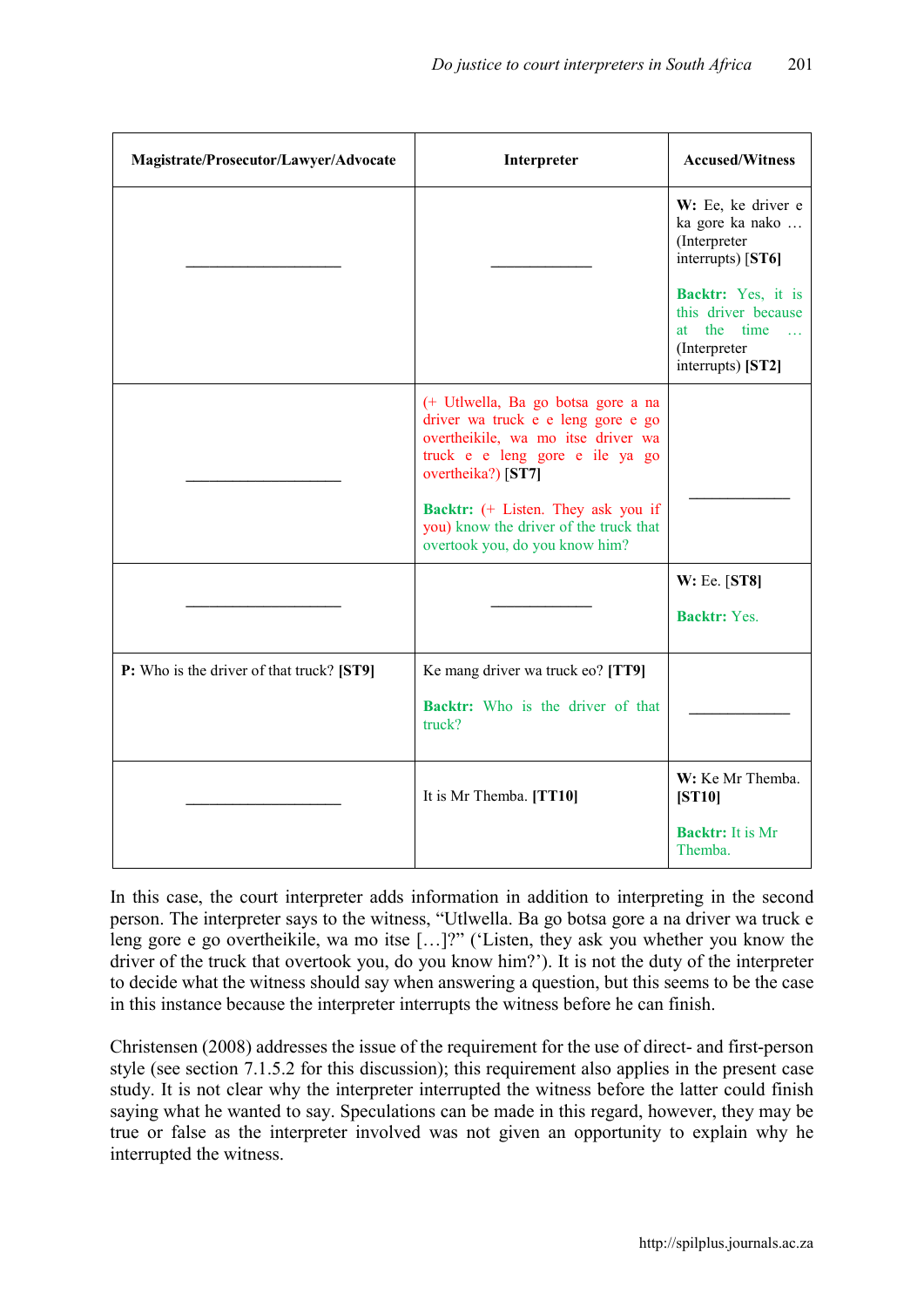| Magistrate/Prosecutor/Lawyer/Advocate     | Interpreter                                                                                                                                                             | <b>Accused/Witness</b>                                                                                                  |
|-------------------------------------------|-------------------------------------------------------------------------------------------------------------------------------------------------------------------------|-------------------------------------------------------------------------------------------------------------------------|
|                                           |                                                                                                                                                                         | W: Ee, ke driver e<br>ka gore ka nako<br>(Interpreter<br>interrupts) [ST6]                                              |
|                                           |                                                                                                                                                                         | Backtr: Yes, it is<br>this driver because<br>the<br>time<br>at a<br>$\mathbb{R}^2$<br>(Interpreter<br>interrupts) [ST2] |
|                                           | (+ Utlwella, Ba go botsa gore a na<br>driver wa truck e e leng gore e go<br>overtheikile, wa mo itse driver wa<br>truck e e leng gore e ile ya go<br>overtheika?) [ST7] |                                                                                                                         |
|                                           | Backtr: (+ Listen. They ask you if<br>you) know the driver of the truck that<br>overtook you, do you know him?                                                          |                                                                                                                         |
|                                           |                                                                                                                                                                         | $W: Ee.$ [ST8]                                                                                                          |
|                                           |                                                                                                                                                                         | <b>Backtr:</b> Yes.                                                                                                     |
| P: Who is the driver of that truck? [ST9] | Ke mang driver wa truck eo? [TT9]                                                                                                                                       |                                                                                                                         |
|                                           | <b>Backtr:</b> Who is the driver of that<br>truck?                                                                                                                      |                                                                                                                         |
|                                           | It is Mr Themba. [TT10]                                                                                                                                                 | W: Ke Mr Themba.<br>[ST10]                                                                                              |
|                                           |                                                                                                                                                                         | <b>Backtr:</b> It is Mr<br>Themba.                                                                                      |

In this case, the court interpreter adds information in addition to interpreting in the second person. The interpreter says to the witness, "Utlwella. Ba go botsa gore a na driver wa truck e leng gore e go overtheikile, wa mo itse […]?" ('Listen, they ask you whether you know the driver of the truck that overtook you, do you know him?'). It is not the duty of the interpreter to decide what the witness should say when answering a question, but this seems to be the case in this instance because the interpreter interrupts the witness before he can finish.

Christensen (2008) addresses the issue of the requirement for the use of direct- and first-person style (see section 7.1.5.2 for this discussion); this requirement also applies in the present case study. It is not clear why the interpreter interrupted the witness before the latter could finish saying what he wanted to say. Speculations can be made in this regard, however, they may be true or false as the interpreter involved was not given an opportunity to explain why he interrupted the witness.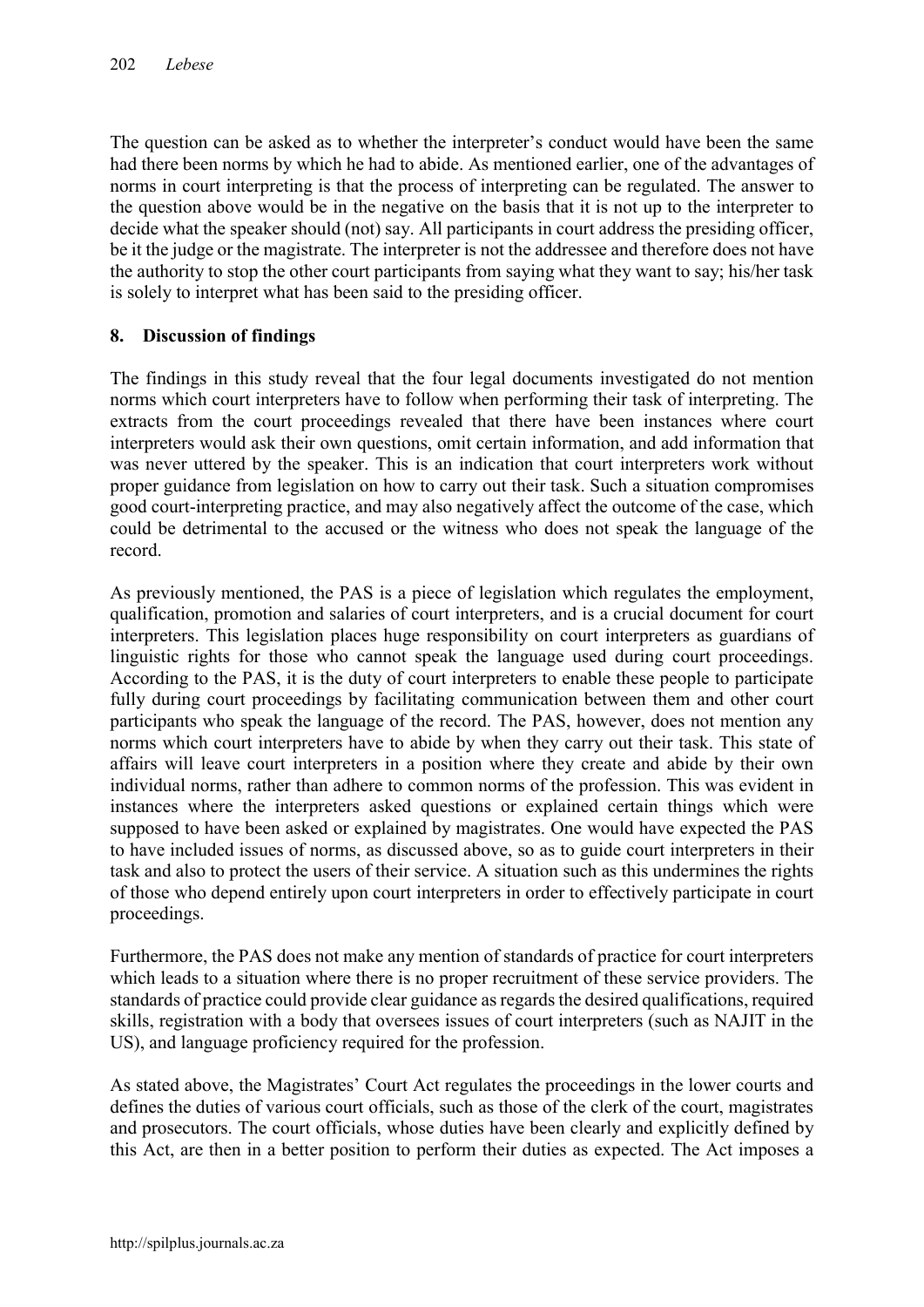The question can be asked as to whether the interpreter's conduct would have been the same had there been norms by which he had to abide. As mentioned earlier, one of the advantages of norms in court interpreting is that the process of interpreting can be regulated. The answer to the question above would be in the negative on the basis that it is not up to the interpreter to decide what the speaker should (not) say. All participants in court address the presiding officer, be it the judge or the magistrate. The interpreter is not the addressee and therefore does not have the authority to stop the other court participants from saying what they want to say; his/her task is solely to interpret what has been said to the presiding officer.

# 8. Discussion of findings

The findings in this study reveal that the four legal documents investigated do not mention norms which court interpreters have to follow when performing their task of interpreting. The extracts from the court proceedings revealed that there have been instances where court interpreters would ask their own questions, omit certain information, and add information that was never uttered by the speaker. This is an indication that court interpreters work without proper guidance from legislation on how to carry out their task. Such a situation compromises good court-interpreting practice, and may also negatively affect the outcome of the case, which could be detrimental to the accused or the witness who does not speak the language of the record.

As previously mentioned, the PAS is a piece of legislation which regulates the employment, qualification, promotion and salaries of court interpreters, and is a crucial document for court interpreters. This legislation places huge responsibility on court interpreters as guardians of linguistic rights for those who cannot speak the language used during court proceedings. According to the PAS, it is the duty of court interpreters to enable these people to participate fully during court proceedings by facilitating communication between them and other court participants who speak the language of the record. The PAS, however, does not mention any norms which court interpreters have to abide by when they carry out their task. This state of affairs will leave court interpreters in a position where they create and abide by their own individual norms, rather than adhere to common norms of the profession. This was evident in instances where the interpreters asked questions or explained certain things which were supposed to have been asked or explained by magistrates. One would have expected the PAS to have included issues of norms, as discussed above, so as to guide court interpreters in their task and also to protect the users of their service. A situation such as this undermines the rights of those who depend entirely upon court interpreters in order to effectively participate in court proceedings.

Furthermore, the PAS does not make any mention of standards of practice for court interpreters which leads to a situation where there is no proper recruitment of these service providers. The standards of practice could provide clear guidance as regards the desired qualifications, required skills, registration with a body that oversees issues of court interpreters (such as NAJIT in the US), and language proficiency required for the profession.

As stated above, the Magistrates' Court Act regulates the proceedings in the lower courts and defines the duties of various court officials, such as those of the clerk of the court, magistrates and prosecutors. The court officials, whose duties have been clearly and explicitly defined by this Act, are then in a better position to perform their duties as expected. The Act imposes a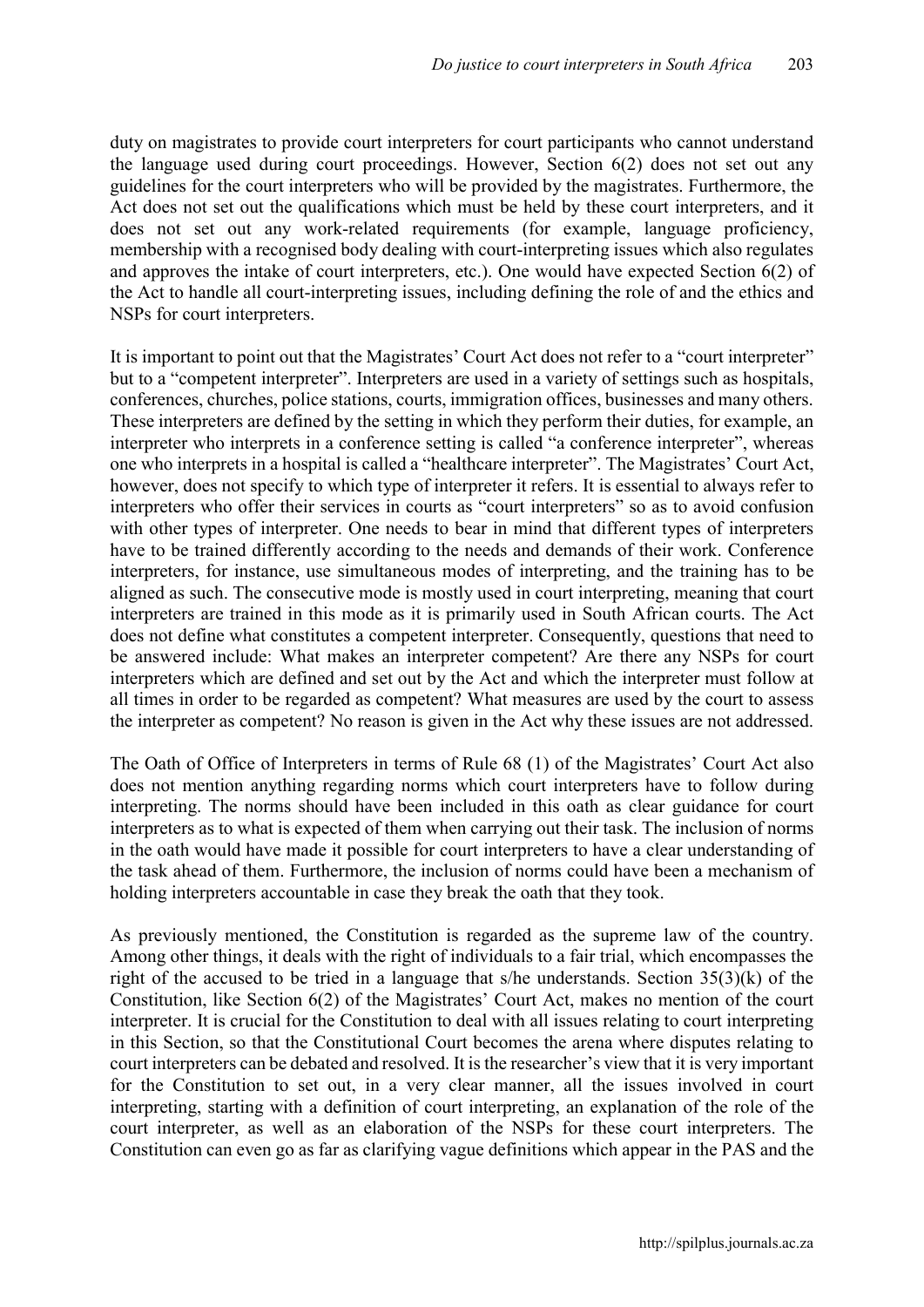duty on magistrates to provide court interpreters for court participants who cannot understand the language used during court proceedings. However, Section 6(2) does not set out any guidelines for the court interpreters who will be provided by the magistrates. Furthermore, the Act does not set out the qualifications which must be held by these court interpreters, and it does not set out any work-related requirements (for example, language proficiency, membership with a recognised body dealing with court-interpreting issues which also regulates and approves the intake of court interpreters, etc.). One would have expected Section 6(2) of the Act to handle all court-interpreting issues, including defining the role of and the ethics and NSPs for court interpreters.

It is important to point out that the Magistrates' Court Act does not refer to a "court interpreter" but to a "competent interpreter". Interpreters are used in a variety of settings such as hospitals, conferences, churches, police stations, courts, immigration offices, businesses and many others. These interpreters are defined by the setting in which they perform their duties, for example, an interpreter who interprets in a conference setting is called "a conference interpreter", whereas one who interprets in a hospital is called a "healthcare interpreter". The Magistrates' Court Act, however, does not specify to which type of interpreter it refers. It is essential to always refer to interpreters who offer their services in courts as "court interpreters" so as to avoid confusion with other types of interpreter. One needs to bear in mind that different types of interpreters have to be trained differently according to the needs and demands of their work. Conference interpreters, for instance, use simultaneous modes of interpreting, and the training has to be aligned as such. The consecutive mode is mostly used in court interpreting, meaning that court interpreters are trained in this mode as it is primarily used in South African courts. The Act does not define what constitutes a competent interpreter. Consequently, questions that need to be answered include: What makes an interpreter competent? Are there any NSPs for court interpreters which are defined and set out by the Act and which the interpreter must follow at all times in order to be regarded as competent? What measures are used by the court to assess the interpreter as competent? No reason is given in the Act why these issues are not addressed.

The Oath of Office of Interpreters in terms of Rule 68 (1) of the Magistrates' Court Act also does not mention anything regarding norms which court interpreters have to follow during interpreting. The norms should have been included in this oath as clear guidance for court interpreters as to what is expected of them when carrying out their task. The inclusion of norms in the oath would have made it possible for court interpreters to have a clear understanding of the task ahead of them. Furthermore, the inclusion of norms could have been a mechanism of holding interpreters accountable in case they break the oath that they took.

As previously mentioned, the Constitution is regarded as the supreme law of the country. Among other things, it deals with the right of individuals to a fair trial, which encompasses the right of the accused to be tried in a language that s/he understands. Section 35(3)(k) of the Constitution, like Section 6(2) of the Magistrates' Court Act, makes no mention of the court interpreter. It is crucial for the Constitution to deal with all issues relating to court interpreting in this Section, so that the Constitutional Court becomes the arena where disputes relating to court interpreters can be debated and resolved. It is the researcher's view that it is very important for the Constitution to set out, in a very clear manner, all the issues involved in court interpreting, starting with a definition of court interpreting, an explanation of the role of the court interpreter, as well as an elaboration of the NSPs for these court interpreters. The Constitution can even go as far as clarifying vague definitions which appear in the PAS and the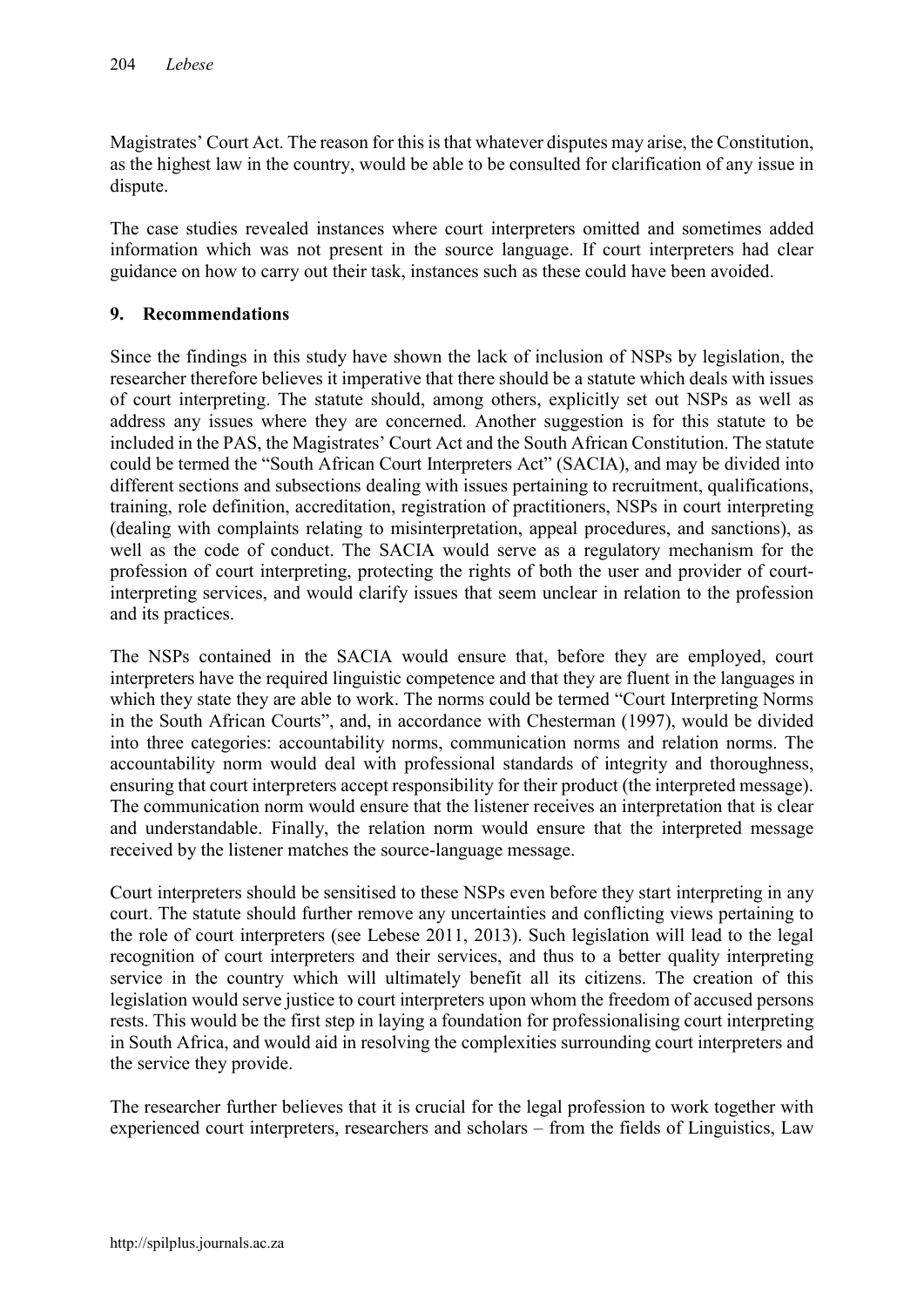Magistrates' Court Act. The reason for this is that whatever disputes may arise, the Constitution, as the highest law in the country, would be able to be consulted for clarification of any issue in dispute.

The case studies revealed instances where court interpreters omitted and sometimes added information which was not present in the source language. If court interpreters had clear guidance on how to carry out their task, instances such as these could have been avoided.

## 9. Recommendations

Since the findings in this study have shown the lack of inclusion of NSPs by legislation, the researcher therefore believes it imperative that there should be a statute which deals with issues of court interpreting. The statute should, among others, explicitly set out NSPs as well as address any issues where they are concerned. Another suggestion is for this statute to be included in the PAS, the Magistrates' Court Act and the South African Constitution. The statute could be termed the "South African Court Interpreters Act" (SACIA), and may be divided into different sections and subsections dealing with issues pertaining to recruitment, qualifications, training, role definition, accreditation, registration of practitioners, NSPs in court interpreting (dealing with complaints relating to misinterpretation, appeal procedures, and sanctions), as well as the code of conduct. The SACIA would serve as a regulatory mechanism for the profession of court interpreting, protecting the rights of both the user and provider of courtinterpreting services, and would clarify issues that seem unclear in relation to the profession and its practices.

The NSPs contained in the SACIA would ensure that, before they are employed, court interpreters have the required linguistic competence and that they are fluent in the languages in which they state they are able to work. The norms could be termed "Court Interpreting Norms in the South African Courts", and, in accordance with Chesterman (1997), would be divided into three categories: accountability norms, communication norms and relation norms. The accountability norm would deal with professional standards of integrity and thoroughness, ensuring that court interpreters accept responsibility for their product (the interpreted message). The communication norm would ensure that the listener receives an interpretation that is clear and understandable. Finally, the relation norm would ensure that the interpreted message received by the listener matches the source-language message.

Court interpreters should be sensitised to these NSPs even before they start interpreting in any court. The statute should further remove any uncertainties and conflicting views pertaining to the role of court interpreters (see Lebese 2011, 2013). Such legislation will lead to the legal recognition of court interpreters and their services, and thus to a better quality interpreting service in the country which will ultimately benefit all its citizens. The creation of this legislation would serve justice to court interpreters upon whom the freedom of accused persons rests. This would be the first step in laying a foundation for professionalising court interpreting in South Africa, and would aid in resolving the complexities surrounding court interpreters and the service they provide.

The researcher further believes that it is crucial for the legal profession to work together with experienced court interpreters, researchers and scholars – from the fields of Linguistics, Law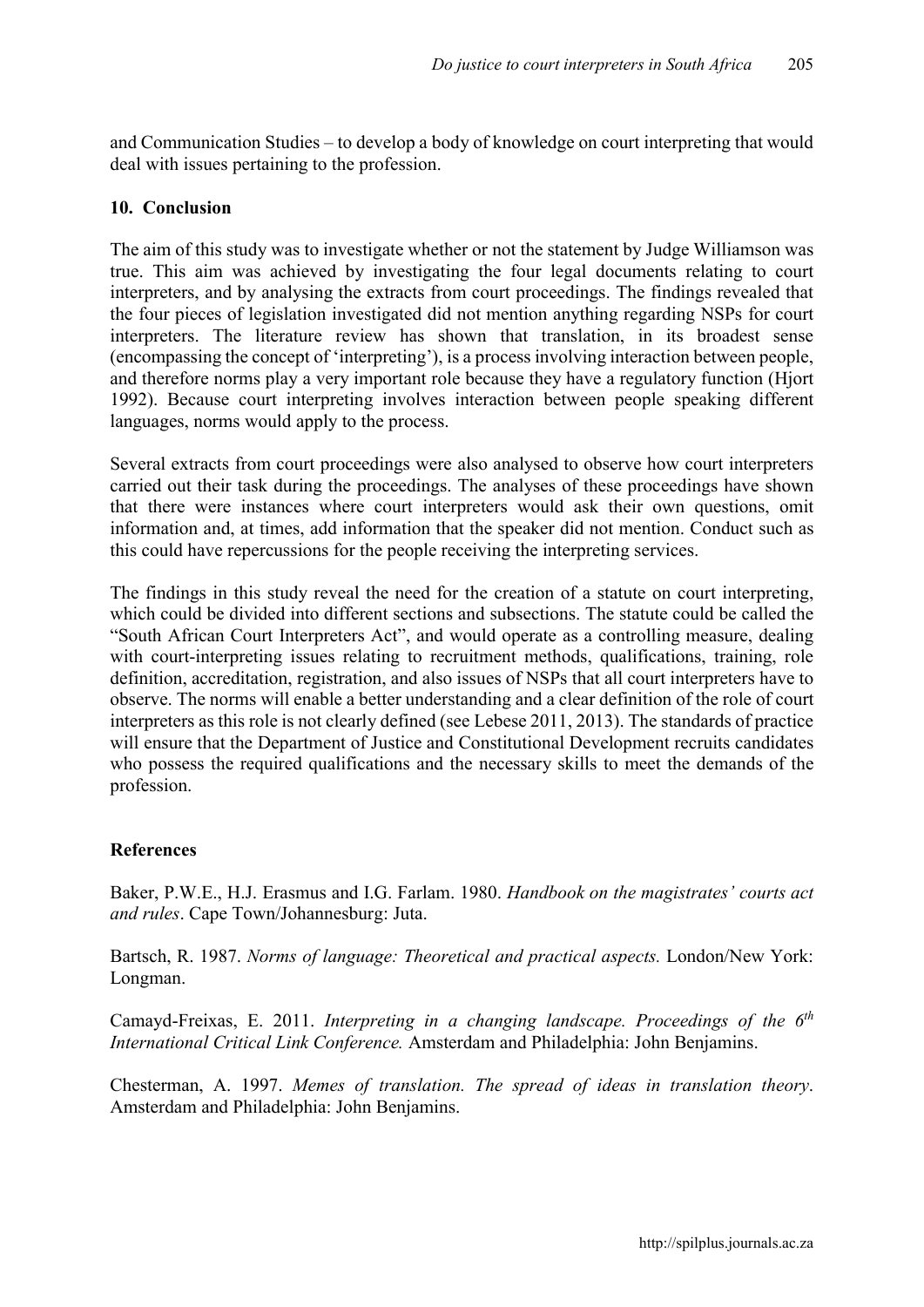and Communication Studies – to develop a body of knowledge on court interpreting that would deal with issues pertaining to the profession.

#### 10. Conclusion

The aim of this study was to investigate whether or not the statement by Judge Williamson was true. This aim was achieved by investigating the four legal documents relating to court interpreters, and by analysing the extracts from court proceedings. The findings revealed that the four pieces of legislation investigated did not mention anything regarding NSPs for court interpreters. The literature review has shown that translation, in its broadest sense (encompassing the concept of 'interpreting'), is a process involving interaction between people, and therefore norms play a very important role because they have a regulatory function (Hjort 1992). Because court interpreting involves interaction between people speaking different languages, norms would apply to the process.

Several extracts from court proceedings were also analysed to observe how court interpreters carried out their task during the proceedings. The analyses of these proceedings have shown that there were instances where court interpreters would ask their own questions, omit information and, at times, add information that the speaker did not mention. Conduct such as this could have repercussions for the people receiving the interpreting services.

The findings in this study reveal the need for the creation of a statute on court interpreting, which could be divided into different sections and subsections. The statute could be called the "South African Court Interpreters Act", and would operate as a controlling measure, dealing with court-interpreting issues relating to recruitment methods, qualifications, training, role definition, accreditation, registration, and also issues of NSPs that all court interpreters have to observe. The norms will enable a better understanding and a clear definition of the role of court interpreters as this role is not clearly defined (see Lebese 2011, 2013). The standards of practice will ensure that the Department of Justice and Constitutional Development recruits candidates who possess the required qualifications and the necessary skills to meet the demands of the profession.

#### **References**

Baker, P.W.E., H.J. Erasmus and I.G. Farlam. 1980. *Handbook on the magistrates' courts act and rules*. Cape Town/Johannesburg: Juta.

Bartsch, R. 1987. *Norms of language: Theoretical and practical aspects.* London/New York: Longman.

Camayd-Freixas, E. 2011. *Interpreting in a changing landscape. Proceedings of the 6th International Critical Link Conference.* Amsterdam and Philadelphia: John Benjamins.

Chesterman, A. 1997. *Memes of translation. The spread of ideas in translation theory*. Amsterdam and Philadelphia: John Benjamins.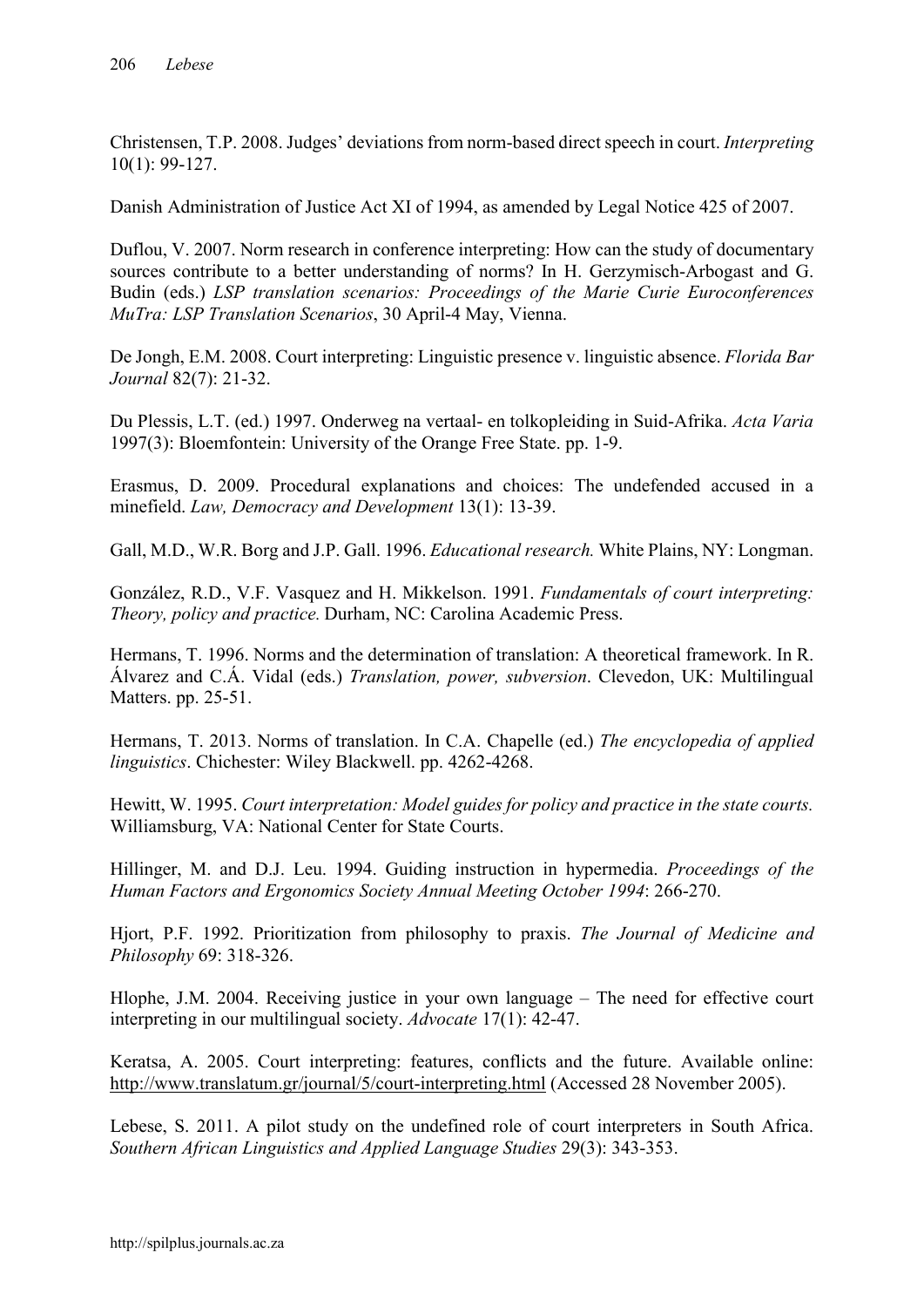Christensen, T.P. 2008. Judges' deviations from norm-based direct speech in court. *Interpreting* 10(1): 99-127.

Danish Administration of Justice Act XI of 1994, as amended by Legal Notice 425 of 2007.

Duflou, V. 2007. Norm research in conference interpreting: How can the study of documentary sources contribute to a better understanding of norms? In H. Gerzymisch-Arbogast and G. Budin (eds.) *LSP translation scenarios: Proceedings of the Marie Curie Euroconferences MuTra: LSP Translation Scenarios*, 30 April-4 May, Vienna.

De Jongh, E.M. 2008. Court interpreting: Linguistic presence v. linguistic absence. *Florida Bar Journal* 82(7): 21-32.

Du Plessis, L.T. (ed.) 1997. Onderweg na vertaal- en tolkopleiding in Suid-Afrika. *Acta Varia*  1997(3): Bloemfontein: University of the Orange Free State. pp. 1-9.

Erasmus, D. 2009. Procedural explanations and choices: The undefended accused in a minefield. *Law, Democracy and Development* 13(1): 13-39.

Gall, M.D., W.R. Borg and J.P. Gall. 1996. *Educational research.* White Plains, NY: Longman.

González, R.D., V.F. Vasquez and H. Mikkelson. 1991. *Fundamentals of court interpreting: Theory, policy and practice.* Durham, NC: Carolina Academic Press.

Hermans, T. 1996. Norms and the determination of translation: A theoretical framework. In R. Álvarez and C.Á. Vidal (eds.) *Translation, power, subversion*. Clevedon, UK: Multilingual Matters. pp. 25-51.

Hermans, T. 2013. Norms of translation. In C.A. Chapelle (ed.) *The encyclopedia of applied linguistics*. Chichester: Wiley Blackwell. pp. 4262-4268.

Hewitt, W. 1995. *Court interpretation: Model guides for policy and practice in the state courts.*  Williamsburg, VA: National Center for State Courts.

Hillinger, M. and D.J. Leu. 1994. Guiding instruction in hypermedia. *Proceedings of the Human Factors and Ergonomics Society Annual Meeting October 1994*: 266-270.

Hjort, P.F. 1992. Prioritization from philosophy to praxis. *The Journal of Medicine and Philosophy* 69: 318-326.

Hlophe, J.M. 2004. Receiving justice in your own language – The need for effective court interpreting in our multilingual society. *Advocate* 17(1): 42-47.

Keratsa, A. 2005. Court interpreting: features, conflicts and the future. Available online: <http://www.translatum.gr/journal/5/court-interpreting.html> (Accessed 28 November 2005).

Lebese, S. 2011. A pilot study on the undefined role of court interpreters in South Africa. *Southern African Linguistics and Applied Language Studies* 29(3): 343-353.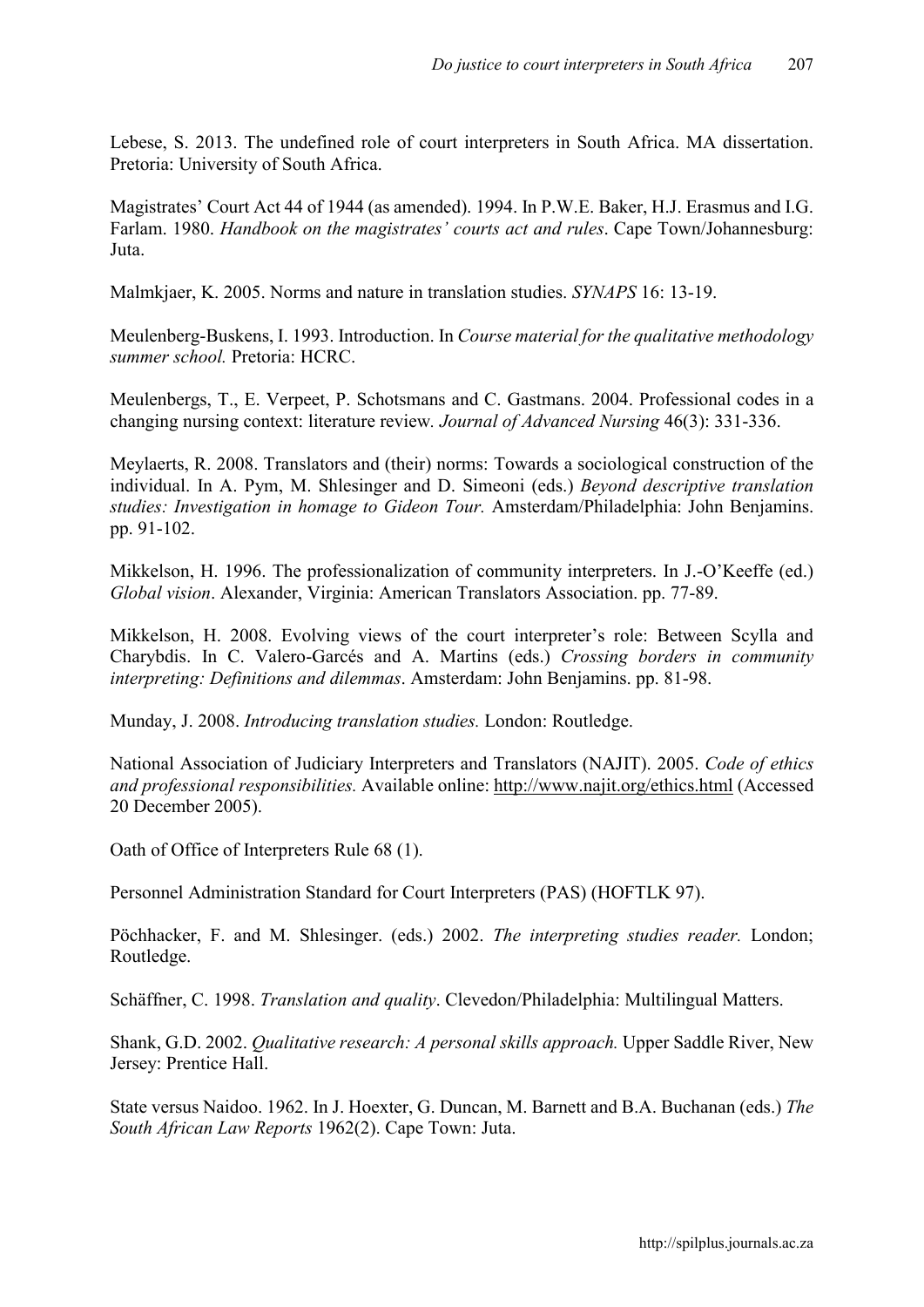Lebese, S. 2013. The undefined role of court interpreters in South Africa. MA dissertation. Pretoria: University of South Africa.

Magistrates' Court Act 44 of 1944 (as amended). 1994. In P.W.E. Baker, H.J. Erasmus and I.G. Farlam. 1980. *Handbook on the magistrates' courts act and rules*. Cape Town/Johannesburg: Juta.

Malmkjaer, K. 2005. Norms and nature in translation studies. *SYNAPS* 16: 13-19.

Meulenberg-Buskens, I. 1993. Introduction. In *Course material for the qualitative methodology summer school.* Pretoria: HCRC.

Meulenbergs, T., E. Verpeet, P. Schotsmans and C. Gastmans. 2004. Professional codes in a changing nursing context: literature review*. Journal of Advanced Nursing* 46(3): 331-336.

Meylaerts, R. 2008. Translators and (their) norms: Towards a sociological construction of the individual. In A. Pym, M. Shlesinger and D. Simeoni (eds.) *Beyond descriptive translation studies: Investigation in homage to Gideon Tour.* Amsterdam/Philadelphia: John Benjamins. pp. 91-102.

Mikkelson, H. 1996. The professionalization of community interpreters. In J.-O'Keeffe (ed.) *Global vision*. Alexander, Virginia: American Translators Association. pp. 77-89.

Mikkelson, H. 2008. Evolving views of the court interpreter's role: Between Scylla and Charybdis. In C. Valero-Garcés and A. Martins (eds.) *Crossing borders in community interpreting: Definitions and dilemmas*. Amsterdam: John Benjamins. pp. 81-98.

Munday, J. 2008. *Introducing translation studies.* London: Routledge.

National Association of Judiciary Interpreters and Translators (NAJIT). 2005. *Code of ethics and professional responsibilities.* Available online: <http://www.najit.org/ethics.html> (Accessed 20 December 2005).

Oath of Office of Interpreters Rule 68 (1).

Personnel Administration Standard for Court Interpreters (PAS) (HOFTLK 97).

Pöchhacker, F. and M. Shlesinger. (eds.) 2002. *The interpreting studies reader.* London; Routledge.

Schäffner, C. 1998. *Translation and quality*. Clevedon/Philadelphia: Multilingual Matters.

Shank, G.D. 2002. *Qualitative research: A personal skills approach.* Upper Saddle River, New Jersey: Prentice Hall.

State versus Naidoo. 1962. In J. Hoexter, G. Duncan, M. Barnett and B.A. Buchanan (eds.) *The South African Law Reports* 1962(2). Cape Town: Juta.